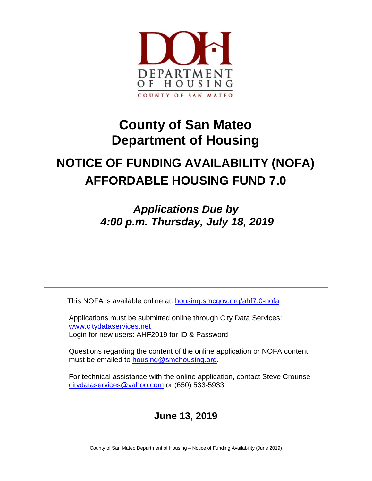

# **County of San Mateo Department of Housing**

# **NOTICE OF FUNDING AVAILABILITY (NOFA) AFFORDABLE HOUSING FUND 7.0**

*Applications Due by 4:00 p.m. Thursday, July 18, 2019*

This NOFA is available online at: [housing.smcgov.org/ahf7.0-nofa](https://housing.smcgov.org/ahf7.0-nofa)

Applications must be submitted online through City Data Services: [www.citydataservices.net](http://www.citydataservices.net/) Login for new users: AHF2019 for ID & Password

Questions regarding the content of the online application or NOFA content must be emailed to [housing@smchousing.org.](mailto:AHF6@smchousing.org)

For technical assistance with the online application, contact Steve Crounse [citydataservices@yahoo.com](mailto:citydataservices@yahoo.com) or (650) 533-5933

# **June 13, 2019**

County of San Mateo Department of Housing – Notice of Funding Availability (June 2019)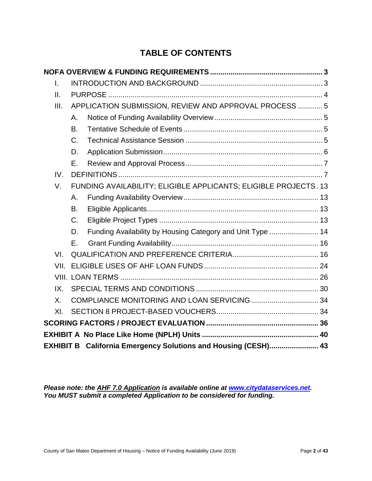# **TABLE OF CONTENTS**

| T. |                                                                        |                                                        |                                                                |  |  |  |
|----|------------------------------------------------------------------------|--------------------------------------------------------|----------------------------------------------------------------|--|--|--|
|    | Ш.                                                                     |                                                        |                                                                |  |  |  |
|    | III.                                                                   | APPLICATION SUBMISSION, REVIEW AND APPROVAL PROCESS  5 |                                                                |  |  |  |
|    |                                                                        | Α.                                                     |                                                                |  |  |  |
|    |                                                                        | В.                                                     |                                                                |  |  |  |
|    |                                                                        | C.                                                     |                                                                |  |  |  |
|    |                                                                        | D.                                                     |                                                                |  |  |  |
|    |                                                                        | Е.                                                     |                                                                |  |  |  |
|    | IV.                                                                    |                                                        |                                                                |  |  |  |
|    | FUNDING AVAILABILITY; ELIGIBLE APPLICANTS; ELIGIBLE PROJECTS. 13<br>V. |                                                        |                                                                |  |  |  |
|    |                                                                        | Α.                                                     |                                                                |  |  |  |
|    |                                                                        | В.                                                     |                                                                |  |  |  |
|    |                                                                        | $C_{\cdot}$                                            |                                                                |  |  |  |
|    |                                                                        | D.                                                     | Funding Availability by Housing Category and Unit Type  14     |  |  |  |
|    |                                                                        | Е.                                                     |                                                                |  |  |  |
|    | VI.                                                                    |                                                        |                                                                |  |  |  |
|    | VII.                                                                   |                                                        |                                                                |  |  |  |
|    |                                                                        |                                                        |                                                                |  |  |  |
|    | IX.                                                                    |                                                        |                                                                |  |  |  |
|    | $X_{-}$                                                                |                                                        |                                                                |  |  |  |
|    | XI.                                                                    |                                                        |                                                                |  |  |  |
|    |                                                                        |                                                        |                                                                |  |  |  |
|    |                                                                        |                                                        |                                                                |  |  |  |
|    |                                                                        |                                                        | EXHIBIT B California Emergency Solutions and Housing (CESH) 43 |  |  |  |

*Please note: the AHF 7.0 Application is available online at [www.citydataservices.net.](http://www.citydataservices.net/) You MUST submit a completed Application to be considered for funding.*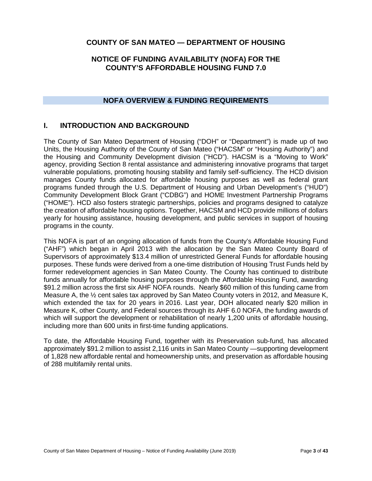# **COUNTY OF SAN MATEO — DEPARTMENT OF HOUSING**

# **NOTICE OF FUNDING AVAILABILITY (NOFA) FOR THE COUNTY'S AFFORDABLE HOUSING FUND 7.0**

# **NOFA OVERVIEW & FUNDING REQUIREMENTS**

# <span id="page-2-1"></span><span id="page-2-0"></span>**I. INTRODUCTION AND BACKGROUND**

The County of San Mateo Department of Housing ("DOH" or "Department") is made up of two Units, the Housing Authority of the County of San Mateo ("HACSM" or "Housing Authority") and the Housing and Community Development division ("HCD"). HACSM is a "Moving to Work" agency, providing Section 8 rental assistance and administering innovative programs that target vulnerable populations, promoting housing stability and family self-sufficiency. The HCD division manages County funds allocated for affordable housing purposes as well as federal grant programs funded through the U.S. Department of Housing and Urban Development's ("HUD") Community Development Block Grant ("CDBG") and HOME Investment Partnership Programs ("HOME"). HCD also fosters strategic partnerships, policies and programs designed to catalyze the creation of affordable housing options. Together, HACSM and HCD provide millions of dollars yearly for housing assistance, housing development, and public services in support of housing programs in the county.

This NOFA is part of an ongoing allocation of funds from the County's Affordable Housing Fund ("AHF") which began in April 2013 with the allocation by the San Mateo County Board of Supervisors of approximately \$13.4 million of unrestricted General Funds for affordable housing purposes. These funds were derived from a one-time distribution of Housing Trust Funds held by former redevelopment agencies in San Mateo County. The County has continued to distribute funds annually for affordable housing purposes through the Affordable Housing Fund, awarding \$91.2 million across the first six AHF NOFA rounds. Nearly \$60 million of this funding came from Measure A, the  $\frac{1}{2}$  cent sales tax approved by San Mateo County voters in 2012, and Measure K, which extended the tax for 20 years in 2016. Last year, DOH allocated nearly \$20 million in Measure K, other County, and Federal sources through its AHF 6.0 NOFA, the funding awards of which will support the development or rehabilitation of nearly 1,200 units of affordable housing, including more than 600 units in first-time funding applications.

To date, the Affordable Housing Fund, together with its Preservation sub-fund, has allocated approximately \$91.2 million to assist 2,116 units in San Mateo County —supporting development of 1,828 new affordable rental and homeownership units, and preservation as affordable housing of 288 multifamily rental units.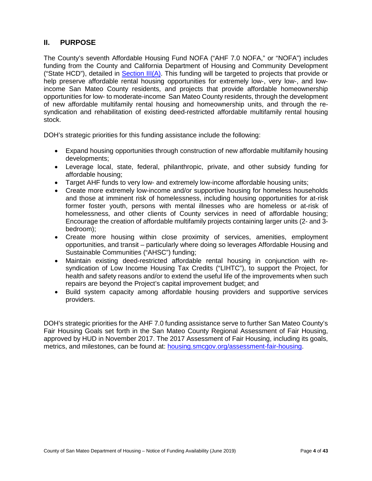# <span id="page-3-0"></span>**II. PURPOSE**

The County's seventh Affordable Housing Fund NOFA ("AHF 7.0 NOFA," or "NOFA") includes funding from the County and California Department of Housing and Community Development ("State HCD"), detailed in [Section III\(A\).](#page-4-1) This funding will be targeted to projects that provide or help preserve affordable rental housing opportunities for extremely low-, very low-, and lowincome San Mateo County residents, and projects that provide affordable homeownership opportunities for low- to moderate-income San Mateo County residents, through the development of new affordable multifamily rental housing and homeownership units, and through the resyndication and rehabilitation of existing deed-restricted affordable multifamily rental housing stock.

DOH's strategic priorities for this funding assistance include the following:

- Expand housing opportunities through construction of new affordable multifamily housing developments;
- Leverage local, state, federal, philanthropic, private, and other subsidy funding for affordable housing;
- Target AHF funds to very low- and extremely low-income affordable housing units;
- Create more extremely low-income and/or supportive housing for homeless households and those at imminent risk of homelessness, including housing opportunities for at-risk former foster youth, persons with mental illnesses who are homeless or at-risk of homelessness, and other clients of County services in need of affordable housing; Encourage the creation of affordable multifamily projects containing larger units (2- and 3 bedroom);
- Create more housing within close proximity of services, amenities, employment opportunities, and transit – particularly where doing so leverages Affordable Housing and Sustainable Communities ("AHSC") funding;
- Maintain existing deed-restricted affordable rental housing in conjunction with resyndication of Low Income Housing Tax Credits ("LIHTC"), to support the Project, for health and safety reasons and/or to extend the useful life of the improvements when such repairs are beyond the Project's capital improvement budget; and
- Build system capacity among affordable housing providers and supportive services providers.

DOH's strategic priorities for the AHF 7.0 funding assistance serve to further San Mateo County's Fair Housing Goals set forth in the San Mateo County Regional Assessment of Fair Housing, approved by HUD in November 2017. The 2017 Assessment of Fair Housing, including its goals, metrics, and milestones, can be found at: [housing.smcgov.org/assessment-fair-housing.](https://housing.smcgov.org/assessment-fair-housing.)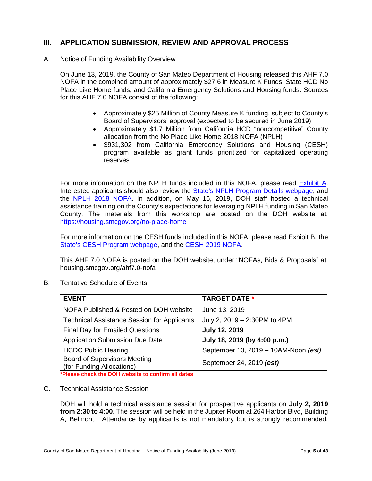# <span id="page-4-0"></span>**III. APPLICATION SUBMISSION, REVIEW AND APPROVAL PROCESS**

<span id="page-4-1"></span>A. Notice of Funding Availability Overview

On June 13, 2019, the County of San Mateo Department of Housing released this AHF 7.0 NOFA in the combined amount of approximately \$27.6 in Measure K Funds, State HCD No Place Like Home funds, and California Emergency Solutions and Housing funds. Sources for this AHF 7.0 NOFA consist of the following:

- Approximately \$25 Million of County Measure K funding, subject to County's Board of Supervisors' approval (expected to be secured in June 2019)
- Approximately \$1.7 Million from California HCD "noncompetitive" County allocation from the No Place Like Home 2018 NOFA (NPLH)
- \$931,302 from California Emergency Solutions and Housing (CESH) program available as grant funds prioritized for capitalized operating reserves

For more information on the NPLH funds included in this NOFA, please read [Exhibit A.](#page-39-0) Interested applicants should also review the [State's NPLH Program Details webpage,](http://www.hcd.ca.gov/grants-funding/active-funding/nplh.shtml) and the [NPLH 2018 NOFA.](http://www.hcd.ca.gov/grants-funding/active-funding/nplh/docs/2018-NPLH-NOFA-Noncompetitive-Allocation-Amendment.pdf) In addition, on May 16, 2019, DOH staff hosted a technical assistance training on the County's expectations for leveraging NPLH funding in San Mateo County. The materials from this workshop are posted on the DOH website at: <https://housing.smcgov.org/no-place-home>

For more information on the CESH funds included in this NOFA, please read Exhibit B, the [State's CESH Program webpage,](http://www.hcd.ca.gov/grants-funding/active-funding/cesh.shtml) and the [CESH 2019 NOFA.](http://www.hcd.ca.gov/grants-funding/active-funding/cesh/docs/2019-California-Emergency-Solutions-Housing-Program-NOFA.pdf)

This AHF 7.0 NOFA is posted on the DOH website, under "NOFAs, Bids & Proposals" at: housing.smcgov.org/ahf7.0-nofa

| <b>EVENT</b>                                                     | <b>TARGET DATE *</b>                 |
|------------------------------------------------------------------|--------------------------------------|
| NOFA Published & Posted on DOH website                           | June 13, 2019                        |
| <b>Technical Assistance Session for Applicants</b>               | July 2, 2019 - 2:30PM to 4PM         |
| <b>Final Day for Emailed Questions</b>                           | <b>July 12, 2019</b>                 |
| <b>Application Submission Due Date</b>                           | July 18, 2019 (by 4:00 p.m.)         |
| <b>HCDC Public Hearing</b>                                       | September 10, 2019 - 10AM-Noon (est) |
| <b>Board of Supervisors Meeting</b><br>(for Funding Allocations) | September 24, 2019 (est)             |

<span id="page-4-2"></span>B. Tentative Schedule of Events

**\*Please check the DOH website to confirm all dates**

<span id="page-4-3"></span>C. Technical Assistance Session

DOH will hold a technical assistance session for prospective applicants on **July 2, 2019 from 2:30 to 4:00**. The session will be held in the Jupiter Room at 264 Harbor Blvd, Building A, Belmont. Attendance by applicants is not mandatory but is strongly recommended.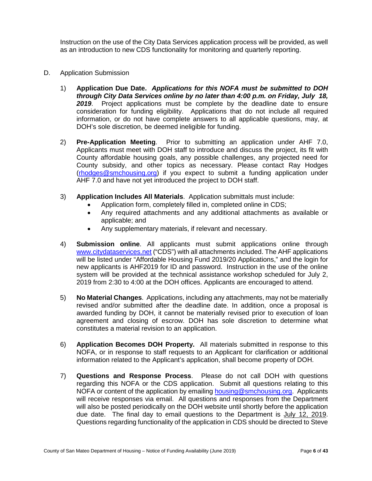Instruction on the use of the City Data Services application process will be provided, as well as an introduction to new CDS functionality for monitoring and quarterly reporting.

- <span id="page-5-0"></span>D. Application Submission
	- 1) **Application Due Date.** *Applications for this NOFA must be submitted to DOH through City Data Services online by no later than 4:00 p.m. on Friday, July 18, 2019*. Project applications must be complete by the deadline date to ensure consideration for funding eligibility. Applications that do not include all required information, or do not have complete answers to all applicable questions, may, at DOH's sole discretion, be deemed ineligible for funding.
	- 2) **Pre-Application Meeting**. Prior to submitting an application under AHF 7.0, Applicants must meet with DOH staff to introduce and discuss the project, its fit with County affordable housing goals, any possible challenges, any projected need for County subsidy, and other topics as necessary. Please contact Ray Hodges [\(rhodges@smchousing.org\)](mailto:rhodges@smchousing.org) if you expect to submit a funding application under AHF 7.0 and have not yet introduced the project to DOH staff.
	- 3) **Application Includes All Materials**. Application submittals must include:
		- Application form, completely filled in, completed online in CDS;
		- Any required attachments and any additional attachments as available or applicable; and
		- Any supplementary materials, if relevant and necessary.
	- 4) **Submission online**. All applicants must submit applications online through [www.citydataservices.net](http://www.citydataservices.net/) ("CDS") with all attachments included. The AHF applications will be listed under "Affordable Housing Fund 2019/20 Applications," and the login for new applicants is AHF2019 for ID and password. Instruction in the use of the online system will be provided at the technical assistance workshop scheduled for July 2, 2019 from 2:30 to 4:00 at the DOH offices. Applicants are encouraged to attend.
	- 5) **No Material Changes**. Applications, including any attachments, may not be materially revised and/or submitted after the deadline date. In addition, once a proposal is awarded funding by DOH, it cannot be materially revised prior to execution of loan agreement and closing of escrow. DOH has sole discretion to determine what constitutes a material revision to an application.
	- 6) **Application Becomes DOH Property.** All materials submitted in response to this NOFA, or in response to staff requests to an Applicant for clarification or additional information related to the Applicant's application, shall become property of DOH.
	- 7) **Questions and Response Process**. Please do not call DOH with questions regarding this NOFA or the CDS application. Submit all questions relating to this NOFA or content of the application by emailing [housing@smchousing.org.](mailto:housing@smchousing.org) Applicants will receive responses via email. All questions and responses from the Department will also be posted periodically on the DOH website until shortly before the application due date. The final day to email questions to the Department is July 12, 2019. Questions regarding functionality of the application in CDS should be directed to Steve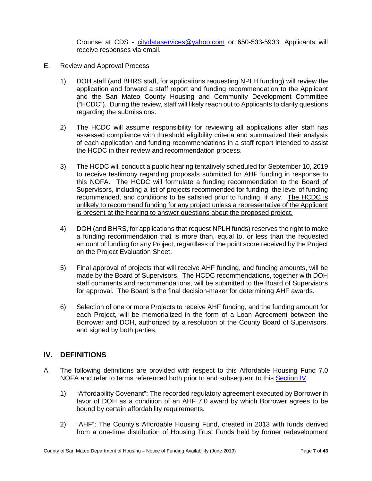Crounse at CDS - [citydataservices@yahoo.com](mailto:citydataservices@yahoo.com) or 650-533-5933. Applicants will receive responses via email.

- <span id="page-6-0"></span>E. Review and Approval Process
	- 1) DOH staff (and BHRS staff, for applications requesting NPLH funding) will review the application and forward a staff report and funding recommendation to the Applicant and the San Mateo County Housing and Community Development Committee ("HCDC"). During the review, staff will likely reach out to Applicants to clarify questions regarding the submissions.
	- 2) The HCDC will assume responsibility for reviewing all applications after staff has assessed compliance with threshold eligibility criteria and summarized their analysis of each application and funding recommendations in a staff report intended to assist the HCDC in their review and recommendation process.
	- 3) The HCDC will conduct a public hearing tentatively scheduled for September 10, 2019 to receive testimony regarding proposals submitted for AHF funding in response to this NOFA. The HCDC will formulate a funding recommendation to the Board of Supervisors, including a list of projects recommended for funding, the level of funding recommended, and conditions to be satisfied prior to funding, if any. The HCDC is unlikely to recommend funding for any project unless a representative of the Applicant is present at the hearing to answer questions about the proposed project.
	- 4) DOH (and BHRS, for applications that request NPLH funds) reserves the right to make a funding recommendation that is more than, equal to, or less than the requested amount of funding for any Project, regardless of the point score received by the Project on the Project Evaluation Sheet.
	- 5) Final approval of projects that will receive AHF funding, and funding amounts, will be made by the Board of Supervisors. The HCDC recommendations, together with DOH staff comments and recommendations, will be submitted to the Board of Supervisors for approval. The Board is the final decision-maker for determining AHF awards.
	- 6) Selection of one or more Projects to receive AHF funding, and the funding amount for each Project, will be memorialized in the form of a Loan Agreement between the Borrower and DOH, authorized by a resolution of the County Board of Supervisors, and signed by both parties.

# <span id="page-6-1"></span>**IV. DEFINITIONS**

- A. The following definitions are provided with respect to this Affordable Housing Fund 7.0 NOFA and refer to terms referenced both prior to and subsequent to this [Section IV.](#page-15-1)
	- 1) "Affordability Covenant": The recorded regulatory agreement executed by Borrower in favor of DOH as a condition of an AHF 7.0 award by which Borrower agrees to be bound by certain affordability requirements.
	- 2) "AHF": The County's Affordable Housing Fund, created in 2013 with funds derived from a one-time distribution of Housing Trust Funds held by former redevelopment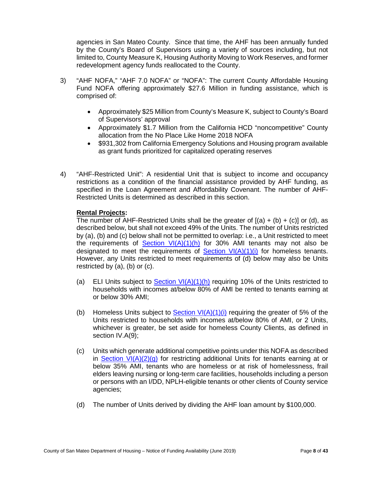agencies in San Mateo County. Since that time, the AHF has been annually funded by the County's Board of Supervisors using a variety of sources including, but not limited to, County Measure K, Housing Authority Moving to Work Reserves, and former redevelopment agency funds reallocated to the County.

- 3) "AHF NOFA," "AHF 7.0 NOFA" or "NOFA": The current County Affordable Housing Fund NOFA offering approximately \$27.6 Million in funding assistance, which is comprised of:
	- Approximately \$25 Million from County's Measure K, subject to County's Board of Supervisors' approval
	- Approximately \$1.7 Million from the California HCD "noncompetitive" County allocation from the No Place Like Home 2018 NOFA
	- \$931,302 from California Emergency Solutions and Housing program available as grant funds prioritized for capitalized operating reserves
- 4) "AHF-Restricted Unit": A residential Unit that is subject to income and occupancy restrictions as a condition of the financial assistance provided by AHF funding, as specified in the Loan Agreement and Affordability Covenant. The number of AHF-Restricted Units is determined as described in this section.

#### **Rental Projects:**

The number of AHF-Restricted Units shall be the greater of  $[(a) + (b) + (c)]$  or (d), as described below, but shall not exceed 49% of the Units. The number of Units restricted by (a), (b) and (c) below shall not be permitted to overlap: i.e., a Unit restricted to meet the requirements of **[Section VI\(A\)\(1\)\(h\)](#page-15-1)** for 30% AMI tenants may not also be designated to meet the requirements of Section  $VI(A)(1)(i)$  for homeless tenants. However, any Units restricted to meet requirements of (d) below may also be Units restricted by (a), (b) or (c).

- (a) ELI Units subject to Section  $VI(A)(1)(h)$  requiring 10% of the Units restricted to households with incomes at/below 80% of AMI be rented to tenants earning at or below 30% AMI;
- (b) Homeless Units subject to Section  $V(A)(1)(i)$  requiring the greater of 5% of the Units restricted to households with incomes at/below 80% of AMI, or 2 Units, whichever is greater, be set aside for homeless County Clients, as defined in section IV.A(9);
- (c) Units which generate additional competitive points under this NOFA as described in Section  $VI(A)(2)(q)$  for restricting additional Units for tenants earning at or below 35% AMI, tenants who are homeless or at risk of homelessness, frail elders leaving nursing or long-term care facilities, households including a person or persons with an I/DD, NPLH-eligible tenants or other clients of County service agencies;
- (d) The number of Units derived by dividing the AHF loan amount by \$100,000.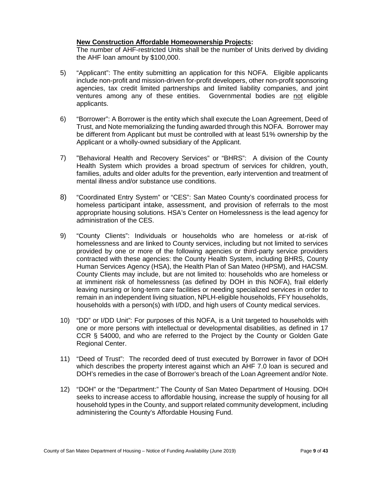#### **New Construction Affordable Homeownership Projects:**

The number of AHF-restricted Units shall be the number of Units derived by dividing the AHF loan amount by \$100,000.

- 5) "Applicant": The entity submitting an application for this NOFA. Eligible applicants include non-profit and mission-driven for-profit developers, other non-profit sponsoring agencies, tax credit limited partnerships and limited liability companies, and joint ventures among any of these entities. Governmental bodies are not eligible applicants.
- 6) "Borrower": A Borrower is the entity which shall execute the Loan Agreement, Deed of Trust, and Note memorializing the funding awarded through this NOFA. Borrower may be different from Applicant but must be controlled with at least 51% ownership by the Applicant or a wholly-owned subsidiary of the Applicant.
- 7) "Behavioral Health and Recovery Services" or "BHRS": A division of the County Health System which provides a broad spectrum of services for children, youth, families, adults and older adults for the prevention, early intervention and treatment of mental illness and/or substance use conditions.
- 8) "Coordinated Entry System" or "CES": San Mateo County's coordinated process for homeless participant intake, assessment, and provision of referrals to the most appropriate housing solutions. HSA's Center on Homelessness is the lead agency for administration of the CES.
- 9) "County Clients": Individuals or households who are homeless or at-risk of homelessness and are linked to County services, including but not limited to services provided by one or more of the following agencies or third-party service providers contracted with these agencies: the County Health System, including BHRS, County Human Services Agency (HSA), the Health Plan of San Mateo (HPSM), and HACSM. County Clients may include, but are not limited to: households who are homeless or at imminent risk of homelessness (as defined by DOH in this NOFA), frail elderly leaving nursing or long-term care facilities or needing specialized services in order to remain in an independent living situation, NPLH-eligible households, FFY households, households with a person(s) with I/DD, and high users of County medical services.
- 10) "DD" or I/DD Unit": For purposes of this NOFA, is a Unit targeted to households with one or more persons with intellectual or developmental disabilities, as defined in 17 CCR § 54000, and who are referred to the Project by the County or Golden Gate Regional Center.
- 11) "Deed of Trust": The recorded deed of trust executed by Borrower in favor of DOH which describes the property interest against which an AHF 7.0 loan is secured and DOH's remedies in the case of Borrower's breach of the Loan Agreement and/or Note.
- 12) "DOH" or the "Department:" The County of San Mateo Department of Housing. DOH seeks to increase access to affordable housing, increase the supply of housing for all household types in the County, and support related community development, including administering the County's Affordable Housing Fund.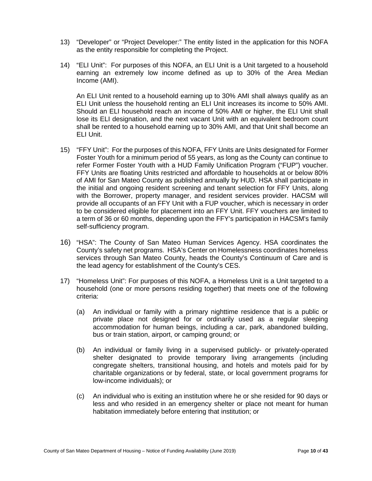- 13) "Developer" or "Project Developer:" The entity listed in the application for this NOFA as the entity responsible for completing the Project.
- 14) "ELI Unit": For purposes of this NOFA, an ELI Unit is a Unit targeted to a household earning an extremely low income defined as up to 30% of the Area Median Income (AMI).

An ELI Unit rented to a household earning up to 30% AMI shall always qualify as an ELI Unit unless the household renting an ELI Unit increases its income to 50% AMI. Should an ELI household reach an income of 50% AMI or higher, the ELI Unit shall lose its ELI designation, and the next vacant Unit with an equivalent bedroom count shall be rented to a household earning up to 30% AMI, and that Unit shall become an ELI Unit.

- 15) "FFY Unit": For the purposes of this NOFA, FFY Units are Units designated for Former Foster Youth for a minimum period of 55 years, as long as the County can continue to refer Former Foster Youth with a HUD Family Unification Program ("FUP") voucher. FFY Units are floating Units restricted and affordable to households at or below 80% of AMI for San Mateo County as published annually by HUD. HSA shall participate in the initial and ongoing resident screening and tenant selection for FFY Units, along with the Borrower, property manager, and resident services provider. HACSM will provide all occupants of an FFY Unit with a FUP voucher, which is necessary in order to be considered eligible for placement into an FFY Unit. FFY vouchers are limited to a term of 36 or 60 months, depending upon the FFY's participation in HACSM's family self-sufficiency program.
- 16) "HSA": The County of San Mateo Human Services Agency. HSA coordinates the County's safety net programs. HSA's Center on Homelessness coordinates homeless services through San Mateo County, heads the County's Continuum of Care and is the lead agency for establishment of the County's CES.
- 17) "Homeless Unit": For purposes of this NOFA, a Homeless Unit is a Unit targeted to a household (one or more persons residing together) that meets one of the following criteria:
	- (a) An individual or family with a primary nighttime residence that is a public or private place not designed for or ordinarily used as a regular sleeping accommodation for human beings, including a car, park, abandoned building, bus or train station, airport, or camping ground; or
	- (b) An individual or family living in a supervised publicly- or privately-operated shelter designated to provide temporary living arrangements (including congregate shelters, transitional housing, and hotels and motels paid for by charitable organizations or by federal, state, or local government programs for low-income individuals); or
	- (c) An individual who is exiting an institution where he or she resided for 90 days or less and who resided in an emergency shelter or place not meant for human habitation immediately before entering that institution; or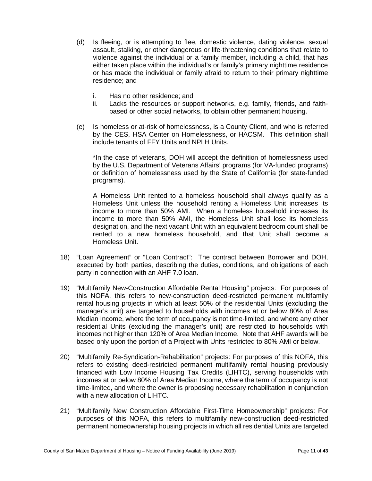- (d) Is fleeing, or is attempting to flee, domestic violence, dating violence, sexual assault, stalking, or other dangerous or life-threatening conditions that relate to violence against the individual or a family member, including a child, that has either taken place within the individual's or family's primary nighttime residence or has made the individual or family afraid to return to their primary nighttime residence; and
	- i. Has no other residence; and
	- ii. Lacks the resources or support networks, e.g. family, friends, and faithbased or other social networks, to obtain other permanent housing.
- (e) Is homeless or at-risk of homelessness, is a County Client, and who is referred by the CES, HSA Center on Homelessness, or HACSM. This definition shall include tenants of FFY Units and NPLH Units.

\*In the case of veterans, DOH will accept the definition of homelessness used by the U.S. Department of Veterans Affairs' programs (for VA-funded programs) or definition of homelessness used by the State of California (for state-funded programs).

A Homeless Unit rented to a homeless household shall always qualify as a Homeless Unit unless the household renting a Homeless Unit increases its income to more than 50% AMI. When a homeless household increases its income to more than 50% AMI, the Homeless Unit shall lose its homeless designation, and the next vacant Unit with an equivalent bedroom count shall be rented to a new homeless household, and that Unit shall become a Homeless Unit.

- 18) "Loan Agreement" or "Loan Contract": The contract between Borrower and DOH, executed by both parties, describing the duties, conditions, and obligations of each party in connection with an AHF 7.0 loan.
- 19) "Multifamily New-Construction Affordable Rental Housing" projects: For purposes of this NOFA, this refers to new-construction deed-restricted permanent multifamily rental housing projects in which at least 50% of the residential Units (excluding the manager's unit) are targeted to households with incomes at or below 80% of Area Median Income, where the term of occupancy is not time-limited, and where any other residential Units (excluding the manager's unit) are restricted to households with incomes not higher than 120% of Area Median Income. Note that AHF awards will be based only upon the portion of a Project with Units restricted to 80% AMI or below.
- 20) "Multifamily Re-Syndication-Rehabilitation" projects: For purposes of this NOFA, this refers to existing deed-restricted permanent multifamily rental housing previously financed with Low Income Housing Tax Credits (LIHTC), serving households with incomes at or below 80% of Area Median Income, where the term of occupancy is not time-limited, and where the owner is proposing necessary rehabilitation in conjunction with a new allocation of LIHTC.
- 21) "Multifamily New Construction Affordable First-Time Homeownership" projects: For purposes of this NOFA, this refers to multifamily new-construction deed-restricted permanent homeownership housing projects in which all residential Units are targeted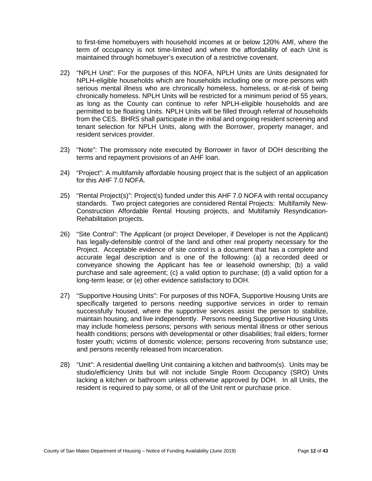to first-time homebuyers with household incomes at or below 120% AMI, where the term of occupancy is not time-limited and where the affordability of each Unit is maintained through homebuyer's execution of a restrictive covenant.

- 22) "NPLH Unit": For the purposes of this NOFA, NPLH Units are Units designated for NPLH-eligible households which are households including one or more persons with serious mental illness who are chronically homeless, homeless, or at-risk of being chronically homeless. NPLH Units will be restricted for a minimum period of 55 years, as long as the County can continue to refer NPLH-eligible households and are permitted to be floating Units. NPLH Units will be filled through referral of households from the CES. BHRS shall participate in the initial and ongoing resident screening and tenant selection for NPLH Units, along with the Borrower, property manager, and resident services provider.
- 23) "Note": The promissory note executed by Borrower in favor of DOH describing the terms and repayment provisions of an AHF loan.
- 24) "Project": A multifamily affordable housing project that is the subject of an application for this AHF 7.0 NOFA.
- 25) "Rental Project(s)": Project(s) funded under this AHF 7.0 NOFA with rental occupancy standards. Two project categories are considered Rental Projects: Multifamily New-Construction Affordable Rental Housing projects, and Multifamily Resyndication-Rehabilitation projects.
- 26) "Site Control": The Applicant (or project Developer, if Developer is not the Applicant) has legally-defensible control of the land and other real property necessary for the Project. Acceptable evidence of site control is a document that has a complete and accurate legal description and is one of the following: (a) a recorded deed or conveyance showing the Applicant has fee or leasehold ownership; (b) a valid purchase and sale agreement; (c) a valid option to purchase; (d) a valid option for a long-term lease; or (e) other evidence satisfactory to DOH.
- 27) "Supportive Housing Units": For purposes of this NOFA, Supportive Housing Units are specifically targeted to persons needing supportive services in order to remain successfully housed, where the supportive services assist the person to stabilize, maintain housing, and live independently. Persons needing Supportive Housing Units may include homeless persons; persons with serious mental illness or other serious health conditions; persons with developmental or other disabilities; frail elders; former foster youth; victims of domestic violence; persons recovering from substance use; and persons recently released from incarceration.
- 28) "Unit": A residential dwelling Unit containing a kitchen and bathroom(s). Units may be studio/efficiency Units but will not include Single Room Occupancy (SRO) Units lacking a kitchen or bathroom unless otherwise approved by DOH. In all Units, the resident is required to pay some, or all of the Unit rent or purchase price.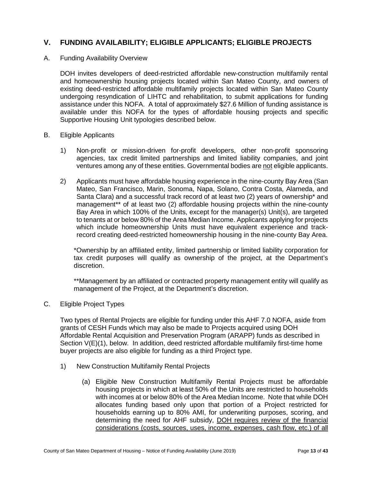# <span id="page-12-0"></span>**V. FUNDING AVAILABILITY; ELIGIBLE APPLICANTS; ELIGIBLE PROJECTS**

#### <span id="page-12-1"></span>A. Funding Availability Overview

DOH invites developers of deed-restricted affordable new-construction multifamily rental and homeownership housing projects located within San Mateo County, and owners of existing deed-restricted affordable multifamily projects located within San Mateo County undergoing resyndication of LIHTC and rehabilitation, to submit applications for funding assistance under this NOFA. A total of approximately \$27.6 Million of funding assistance is available under this NOFA for the types of affordable housing projects and specific Supportive Housing Unit typologies described below.

#### <span id="page-12-2"></span>B. Eligible Applicants

- 1) Non-profit or mission-driven for-profit developers, other non-profit sponsoring agencies, tax credit limited partnerships and limited liability companies, and joint ventures among any of these entities. Governmental bodies are not eligible applicants.
- 2) Applicants must have affordable housing experience in the nine-county Bay Area (San Mateo, San Francisco, Marin, Sonoma, Napa, Solano, Contra Costa, Alameda, and Santa Clara) and a successful track record of at least two (2) years of ownership\* and management\*\* of at least two (2) affordable housing projects within the nine-county Bay Area in which 100% of the Units, except for the manager(s) Unit(s), are targeted to tenants at or below 80% of the Area Median Income. Applicants applying for projects which include homeownership Units must have equivalent experience and trackrecord creating deed-restricted homeownership housing in the nine-county Bay Area.

\*Ownership by an affiliated entity, limited partnership or limited liability corporation for tax credit purposes will qualify as ownership of the project, at the Department's discretion.

\*\*Management by an affiliated or contracted property management entity will qualify as management of the Project, at the Department's discretion.

#### <span id="page-12-3"></span>C. Eligible Project Types

Two types of Rental Projects are eligible for funding under this AHF 7.0 NOFA, aside from grants of CESH Funds which may also be made to Projects acquired using DOH Affordable Rental Acquisition and Preservation Program (ARAPP) funds as described in Section V(E)(1), below. In addition, deed restricted affordable multifamily first-time home buyer projects are also eligible for funding as a third Project type.

- 1) New Construction Multifamily Rental Projects
	- (a) Eligible New Construction Multifamily Rental Projects must be affordable housing projects in which at least 50% of the Units are restricted to households with incomes at or below 80% of the Area Median Income. Note that while DOH allocates funding based only upon that portion of a Project restricted for households earning up to 80% AMI, for underwriting purposes, scoring, and determining the need for AHF subsidy, DOH requires review of the financial considerations (costs, sources, uses, income, expenses, cash flow, etc.) of all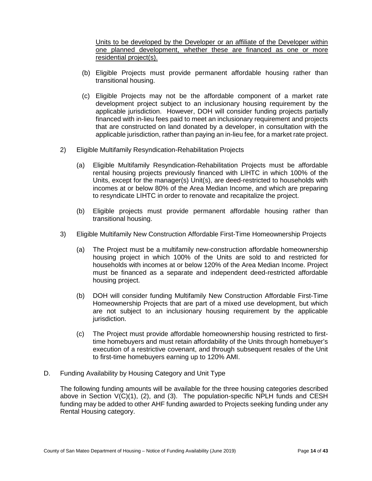Units to be developed by the Developer or an affiliate of the Developer within one planned development, whether these are financed as one or more residential project(s).

- (b) Eligible Projects must provide permanent affordable housing rather than transitional housing.
- (c) Eligible Projects may not be the affordable component of a market rate development project subject to an inclusionary housing requirement by the applicable jurisdiction. However, DOH will consider funding projects partially financed with in-lieu fees paid to meet an inclusionary requirement and projects that are constructed on land donated by a developer, in consultation with the applicable jurisdiction, rather than paying an in-lieu fee, for a market rate project.
- 2) Eligible Multifamily Resyndication-Rehabilitation Projects
	- (a) Eligible Multifamily Resyndication-Rehabilitation Projects must be affordable rental housing projects previously financed with LIHTC in which 100% of the Units, except for the manager(s) Unit(s), are deed-restricted to households with incomes at or below 80% of the Area Median Income, and which are preparing to resyndicate LIHTC in order to renovate and recapitalize the project.
	- (b) Eligible projects must provide permanent affordable housing rather than transitional housing.
- 3) Eligible Multifamily New Construction Affordable First-Time Homeownership Projects
	- (a) The Project must be a multifamily new-construction affordable homeownership housing project in which 100% of the Units are sold to and restricted for households with incomes at or below 120% of the Area Median Income. Project must be financed as a separate and independent deed-restricted affordable housing project.
	- (b) DOH will consider funding Multifamily New Construction Affordable First-Time Homeownership Projects that are part of a mixed use development, but which are not subject to an inclusionary housing requirement by the applicable jurisdiction.
	- (c) The Project must provide affordable homeownership housing restricted to firsttime homebuyers and must retain affordability of the Units through homebuyer's execution of a restrictive covenant, and through subsequent resales of the Unit to first-time homebuyers earning up to 120% AMI.
- <span id="page-13-0"></span>D. Funding Availability by Housing Category and Unit Type

The following funding amounts will be available for the three housing categories described above in Section  $V(C)(1)$ , (2), and (3). The population-specific NPLH funds and CESH funding may be added to other AHF funding awarded to Projects seeking funding under any Rental Housing category.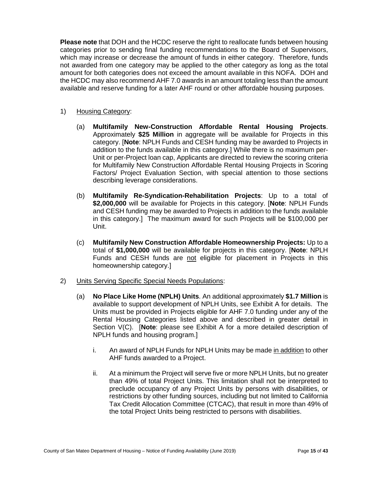**Please note** that DOH and the HCDC reserve the right to reallocate funds between housing categories prior to sending final funding recommendations to the Board of Supervisors, which may increase or decrease the amount of funds in either category. Therefore, funds not awarded from one category may be applied to the other category as long as the total amount for both categories does not exceed the amount available in this NOFA. DOH and the HCDC may also recommend AHF 7.0 awards in an amount totaling less than the amount available and reserve funding for a later AHF round or other affordable housing purposes.

#### 1) Housing Category:

- (a) **Multifamily New-Construction Affordable Rental Housing Projects**. Approximately **\$25 Million** in aggregate will be available for Projects in this category. [**Note**: NPLH Funds and CESH funding may be awarded to Projects in addition to the funds available in this category.] While there is no maximum per-Unit or per-Project loan cap, Applicants are directed to review the scoring criteria for Multifamily New Construction Affordable Rental Housing Projects in Scoring Factors/ Project Evaluation Section, with special attention to those sections describing leverage considerations.
- (b) **Multifamily Re-Syndication-Rehabilitation Projects**: Up to a total of **\$2,000,000** will be available for Projects in this category. [**Note**: NPLH Funds and CESH funding may be awarded to Projects in addition to the funds available in this category.] The maximum award for such Projects will be \$100,000 per Unit.
- (c) **Multifamily New Construction Affordable Homeownership Projects:** Up to a total of **\$1,000,000** will be available for projects in this category. [**Note**: NPLH Funds and CESH funds are not eligible for placement in Projects in this homeownership category.]
- 2) Units Serving Specific Special Needs Populations:
	- (a) **No Place Like Home (NPLH) Units**. An additional approximately **\$1.7 Million** is available to support development of NPLH Units, see Exhibit A for details. The Units must be provided in Projects eligible for AHF 7.0 funding under any of the Rental Housing Categories listed above and described in greater detail in Section V(C). [**Note**: please see Exhibit A for a more detailed description of NPLH funds and housing program.]
		- i. An award of NPLH Funds for NPLH Units may be made in addition to other AHF funds awarded to a Project.
		- ii. At a minimum the Project will serve five or more NPLH Units, but no greater than 49% of total Project Units. This limitation shall not be interpreted to preclude occupancy of any Project Units by persons with disabilities, or restrictions by other funding sources, including but not limited to California Tax Credit Allocation Committee (CTCAC), that result in more than 49% of the total Project Units being restricted to persons with disabilities.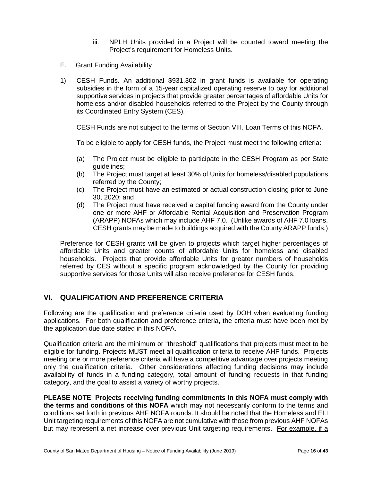- iii. NPLH Units provided in a Project will be counted toward meeting the Project's requirement for Homeless Units.
- <span id="page-15-0"></span>E. Grant Funding Availability
- 1) CESH Funds. An additional \$931,302 in grant funds is available for operating subsidies in the form of a 15-year capitalized operating reserve to pay for additional supportive services in projects that provide greater percentages of affordable Units for homeless and/or disabled households referred to the Project by the County through its Coordinated Entry System (CES).

CESH Funds are not subject to the terms of Section VIII. Loan Terms of this NOFA.

To be eligible to apply for CESH funds, the Project must meet the following criteria:

- (a) The Project must be eligible to participate in the CESH Program as per State guidelines;
- (b) The Project must target at least 30% of Units for homeless/disabled populations referred by the County;
- (c) The Project must have an estimated or actual construction closing prior to June 30, 2020; and
- (d) The Project must have received a capital funding award from the County under one or more AHF or Affordable Rental Acquisition and Preservation Program (ARAPP) NOFAs which may include AHF 7.0. (Unlike awards of AHF 7.0 loans, CESH grants may be made to buildings acquired with the County ARAPP funds.)

Preference for CESH grants will be given to projects which target higher percentages of affordable Units and greater counts of affordable Units for homeless and disabled households. Projects that provide affordable Units for greater numbers of households referred by CES without a specific program acknowledged by the County for providing supportive services for those Units will also receive preference for CESH funds.

# <span id="page-15-1"></span>**VI. QUALIFICATION AND PREFERENCE CRITERIA**

Following are the qualification and preference criteria used by DOH when evaluating funding applications. For both qualification and preference criteria, the criteria must have been met by the application due date stated in this NOFA.

Qualification criteria are the minimum or "threshold" qualifications that projects must meet to be eligible for funding. Projects MUST meet all qualification criteria to receive AHF funds. Projects meeting one or more preference criteria will have a competitive advantage over projects meeting only the qualification criteria. Other considerations affecting funding decisions may include availability of funds in a funding category, total amount of funding requests in that funding category, and the goal to assist a variety of worthy projects.

**PLEASE NOTE**: **Projects receiving funding commitments in this NOFA must comply with the terms and conditions of this NOFA** which may not necessarily conform to the terms and conditions set forth in previous AHF NOFA rounds. It should be noted that the Homeless and ELI Unit targeting requirements of this NOFA are not cumulative with those from previous AHF NOFAs but may represent a net increase over previous Unit targeting requirements. For example, if a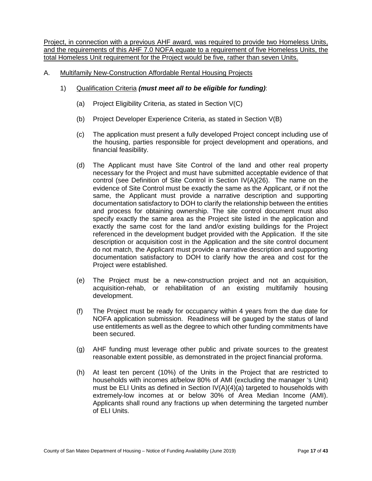Project, in connection with a previous AHF award, was required to provide two Homeless Units, and the requirements of this AHF 7.0 NOFA equate to a requirement of five Homeless Units, the total Homeless Unit requirement for the Project would be five, rather than seven Units.

- A. Multifamily New-Construction Affordable Rental Housing Projects
	- 1) Qualification Criteria *(must meet all to be eligible for funding)*:
		- (a) Project Eligibility Criteria, as stated in Section V(C)
		- (b) Project Developer Experience Criteria, as stated in Section V(B)
		- (c) The application must present a fully developed Project concept including use of the housing, parties responsible for project development and operations, and financial feasibility.
		- (d) The Applicant must have Site Control of the land and other real property necessary for the Project and must have submitted acceptable evidence of that control (see Definition of Site Control in Section IV(A)(26). The name on the evidence of Site Control must be exactly the same as the Applicant, or if not the same, the Applicant must provide a narrative description and supporting documentation satisfactory to DOH to clarify the relationship between the entities and process for obtaining ownership. The site control document must also specify exactly the same area as the Project site listed in the application and exactly the same cost for the land and/or existing buildings for the Project referenced in the development budget provided with the Application. If the site description or acquisition cost in the Application and the site control document do not match, the Applicant must provide a narrative description and supporting documentation satisfactory to DOH to clarify how the area and cost for the Project were established.
		- (e) The Project must be a new-construction project and not an acquisition, acquisition-rehab, or rehabilitation of an existing multifamily housing development.
		- (f) The Project must be ready for occupancy within 4 years from the due date for NOFA application submission. Readiness will be gauged by the status of land use entitlements as well as the degree to which other funding commitments have been secured.
		- (g) AHF funding must leverage other public and private sources to the greatest reasonable extent possible, as demonstrated in the project financial proforma.
		- (h) At least ten percent (10%) of the Units in the Project that are restricted to households with incomes at/below 80% of AMI (excluding the manager 's Unit) must be ELI Units as defined in Section IV(A)(4)(a) targeted to households with extremely-low incomes at or below 30% of Area Median Income (AMI). Applicants shall round any fractions up when determining the targeted number of ELI Units.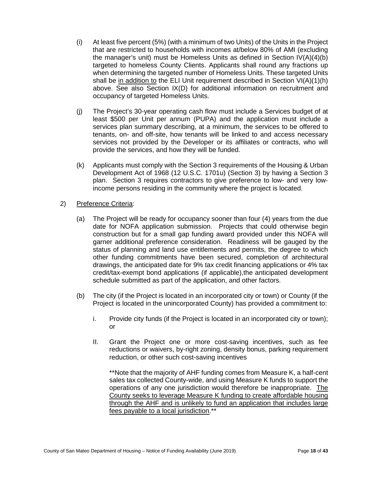- (i) At least five percent (5%) (with a minimum of two Units) of the Units in the Project that are restricted to households with incomes at/below 80% of AMI (excluding the manager's unit) must be Homeless Units as defined in Section IV(A)(4)(b) targeted to homeless County Clients. Applicants shall round any fractions up when determining the targeted number of Homeless Units. These targeted Units shall be in addition to the ELI Unit requirement described in Section VI(A)(1)(h) above. See also Section IX(D) for additional information on recruitment and occupancy of targeted Homeless Units.
- (j) The Project's 30-year operating cash flow must include a Services budget of at least \$500 per Unit per annum (PUPA) and the application must include a services plan summary describing, at a minimum, the services to be offered to tenants, on- and off-site, how tenants will be linked to and access necessary services not provided by the Developer or its affiliates or contracts, who will provide the services, and how they will be funded.
- (k) Applicants must comply with the Section 3 requirements of the Housing & Urban Development Act of 1968 (12 U.S.C. 1701u) (Section 3) by having a Section 3 plan. Section 3 requires contractors to give preference to low- and very lowincome persons residing in the community where the project is located.
- 2) Preference Criteria:
	- (a) The Project will be ready for occupancy sooner than four (4) years from the due date for NOFA application submission. Projects that could otherwise begin construction but for a small gap funding award provided under this NOFA will garner additional preference consideration. Readiness will be gauged by the status of planning and land use entitlements and permits, the degree to which other funding commitments have been secured, completion of architectural drawings, the anticipated date for 9% tax credit financing applications or 4% tax credit/tax-exempt bond applications (if applicable),the anticipated development schedule submitted as part of the application, and other factors.
	- (b) The city (if the Project is located in an incorporated city or town) or County (if the Project is located in the unincorporated County) has provided a commitment to:
		- i. Provide city funds (if the Project is located in an incorporated city or town); or
		- II. Grant the Project one or more cost-saving incentives, such as fee reductions or waivers, by-right zoning, density bonus, parking requirement reduction, or other such cost-saving incentives

\*\*Note that the majority of AHF funding comes from Measure K, a half-cent sales tax collected County-wide, and using Measure K funds to support the operations of any one jurisdiction would therefore be inappropriate. The County seeks to leverage Measure K funding to create affordable housing through the AHF and is unlikely to fund an application that includes large fees payable to a local jurisdiction.\*\*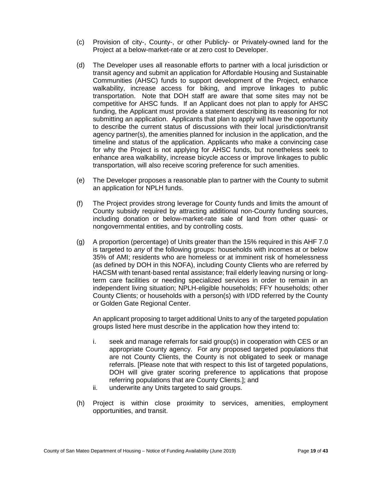- (c) Provision of city-, County-, or other Publicly- or Privately-owned land for the Project at a below-market-rate or at zero cost to Developer.
- (d) The Developer uses all reasonable efforts to partner with a local jurisdiction or transit agency and submit an application for Affordable Housing and Sustainable Communities (AHSC) funds to support development of the Project, enhance walkability, increase access for biking, and improve linkages to public transportation. Note that DOH staff are aware that some sites may not be competitive for AHSC funds. If an Applicant does not plan to apply for AHSC funding, the Applicant must provide a statement describing its reasoning for not submitting an application. Applicants that plan to apply will have the opportunity to describe the current status of discussions with their local jurisdiction/transit agency partner(s), the amenities planned for inclusion in the application, and the timeline and status of the application. Applicants who make a convincing case for why the Project is not applying for AHSC funds, but nonetheless seek to enhance area walkability, increase bicycle access or improve linkages to public transportation, will also receive scoring preference for such amenities.
- (e) The Developer proposes a reasonable plan to partner with the County to submit an application for NPLH funds.
- (f) The Project provides strong leverage for County funds and limits the amount of County subsidy required by attracting additional non-County funding sources, including donation or below-market-rate sale of land from other quasi- or nongovernmental entities, and by controlling costs.
- (g) A proportion (percentage) of Units greater than the 15% required in this AHF 7.0 is targeted to *any* of the following groups: households with incomes at or below 35% of AMI; residents who are homeless or at imminent risk of homelessness (as defined by DOH in this NOFA), including County Clients who are referred by HACSM with tenant-based rental assistance; frail elderly leaving nursing or longterm care facilities or needing specialized services in order to remain in an independent living situation; NPLH-eligible households; FFY households; other County Clients; or households with a person(s) with I/DD referred by the County or Golden Gate Regional Center.

An applicant proposing to target additional Units to any of the targeted population groups listed here must describe in the application how they intend to:

- i. seek and manage referrals for said group(s) in cooperation with CES or an appropriate County agency. For any proposed targeted populations that are not County Clients, the County is not obligated to seek or manage referrals. [Please note that with respect to this list of targeted populations, DOH will give grater scoring preference to applications that propose referring populations that are County Clients.]; and
- ii. underwrite any Units targeted to said groups.
- (h) Project is within close proximity to services, amenities, employment opportunities, and transit.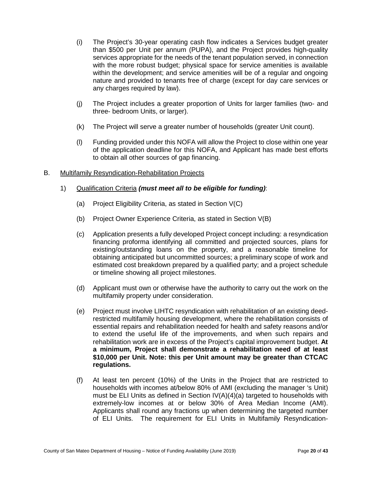- (i) The Project's 30-year operating cash flow indicates a Services budget greater than \$500 per Unit per annum (PUPA), and the Project provides high-quality services appropriate for the needs of the tenant population served, in connection with the more robust budget; physical space for service amenities is available within the development; and service amenities will be of a regular and ongoing nature and provided to tenants free of charge (except for day care services or any charges required by law).
- (j) The Project includes a greater proportion of Units for larger families (two- and three- bedroom Units, or larger).
- (k) The Project will serve a greater number of households (greater Unit count).
- (l) Funding provided under this NOFA will allow the Project to close within one year of the application deadline for this NOFA, and Applicant has made best efforts to obtain all other sources of gap financing.

#### B. Multifamily Resyndication-Rehabilitation Projects

#### 1) Qualification Criteria *(must meet all to be eligible for funding)*:

- (a) Project Eligibility Criteria, as stated in Section V(C)
- (b) Project Owner Experience Criteria, as stated in Section V(B)
- (c) Application presents a fully developed Project concept including: a resyndication financing proforma identifying all committed and projected sources, plans for existing/outstanding loans on the property, and a reasonable timeline for obtaining anticipated but uncommitted sources; a preliminary scope of work and estimated cost breakdown prepared by a qualified party; and a project schedule or timeline showing all project milestones.
- (d) Applicant must own or otherwise have the authority to carry out the work on the multifamily property under consideration.
- (e) Project must involve LIHTC resyndication with rehabilitation of an existing deedrestricted multifamily housing development, where the rehabilitation consists of essential repairs and rehabilitation needed for health and safety reasons and/or to extend the useful life of the improvements, and when such repairs and rehabilitation work are in excess of the Project's capital improvement budget. **At a minimum, Project shall demonstrate a rehabilitation need of at least \$10,000 per Unit. Note: this per Unit amount may be greater than CTCAC regulations.**
- (f) At least ten percent (10%) of the Units in the Project that are restricted to households with incomes at/below 80% of AMI (excluding the manager 's Unit) must be ELI Units as defined in Section IV(A)(4)(a) targeted to households with extremely-low incomes at or below 30% of Area Median Income (AMI). Applicants shall round any fractions up when determining the targeted number of ELI Units. The requirement for ELI Units in Multifamily Resyndication-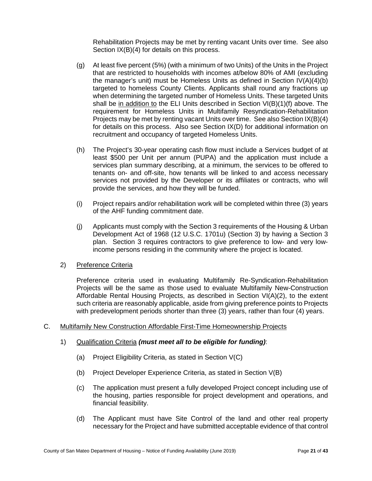Rehabilitation Projects may be met by renting vacant Units over time. See also Section IX(B)(4) for details on this process.

- (g) At least five percent (5%) (with a minimum of two Units) of the Units in the Project that are restricted to households with incomes at/below 80% of AMI (excluding the manager's unit) must be Homeless Units as defined in Section IV(A)(4)(b) targeted to homeless County Clients. Applicants shall round any fractions up when determining the targeted number of Homeless Units. These targeted Units shall be in addition to the ELI Units described in Section VI(B)(1)(f) above. The requirement for Homeless Units in Multifamily Resyndication-Rehabilitation Projects may be met by renting vacant Units over time. See also Section IX(B)(4) for details on this process. Also see Section IX(D) for additional information on recruitment and occupancy of targeted Homeless Units.
- (h) The Project's 30-year operating cash flow must include a Services budget of at least \$500 per Unit per annum (PUPA) and the application must include a services plan summary describing, at a minimum, the services to be offered to tenants on- and off-site, how tenants will be linked to and access necessary services not provided by the Developer or its affiliates or contracts, who will provide the services, and how they will be funded.
- (i) Project repairs and/or rehabilitation work will be completed within three (3) years of the AHF funding commitment date.
- (j) Applicants must comply with the Section 3 requirements of the Housing & Urban Development Act of 1968 (12 U.S.C. 1701u) (Section 3) by having a Section 3 plan. Section 3 requires contractors to give preference to low- and very lowincome persons residing in the community where the project is located.
- 2) Preference Criteria

Preference criteria used in evaluating Multifamily Re-Syndication-Rehabilitation Projects will be the same as those used to evaluate Multifamily New-Construction Affordable Rental Housing Projects, as described in Section VI(A)(2), to the extent such criteria are reasonably applicable, aside from giving preference points to Projects with predevelopment periods shorter than three (3) years, rather than four (4) years.

- C. Multifamily New Construction Affordable First-Time Homeownership Projects
	- 1) Qualification Criteria *(must meet all to be eligible for funding)*:
		- (a) Project Eligibility Criteria, as stated in Section V(C)
		- (b) Project Developer Experience Criteria, as stated in Section V(B)
		- (c) The application must present a fully developed Project concept including use of the housing, parties responsible for project development and operations, and financial feasibility.
		- (d) The Applicant must have Site Control of the land and other real property necessary for the Project and have submitted acceptable evidence of that control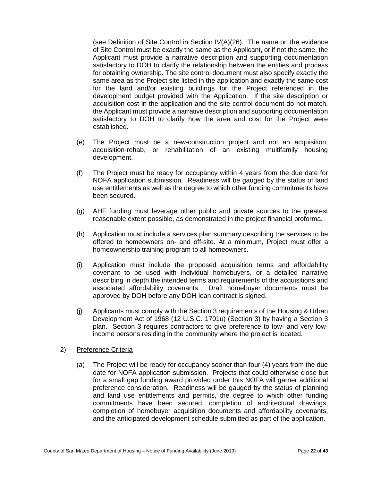(see Definition of Site Control in Section IV(A)(26). The name on the evidence of Site Control must be exactly the same as the Applicant, or if not the same, the Applicant must provide a narrative description and supporting documentation satisfactory to DOH to clarify the relationship between the entities and process for obtaining ownership. The site control document must also specify exactly the same area as the Project site listed in the application and exactly the same cost for the land and/or existing buildings for the Project referenced in the development budget provided with the Application. If the site description or acquisition cost in the application and the site control document do not match, the Applicant must provide a narrative description and supporting documentation satisfactory to DOH to clarify how the area and cost for the Project were established.

- (e) The Project must be a new-construction project and not an acquisition, acquisition-rehab, or rehabilitation of an existing multifamily housing development.
- (f) The Project must be ready for occupancy within 4 years from the due date for NOFA application submission. Readiness will be gauged by the status of land use entitlements as well as the degree to which other funding commitments have been secured.
- (g) AHF funding must leverage other public and private sources to the greatest reasonable extent possible, as demonstrated in the project financial proforma.
- (h) Application must include a services plan summary describing the services to be offered to homeowners on- and off-site. At a minimum, Project must offer a homeownership training program to all homeowners.
- (i) Application must include the proposed acquisition terms and affordability covenant to be used with individual homebuyers, or a detailed narrative describing in depth the intended terms and requirements of the acquisitions and associated affordability covenants. Draft homebuyer documents must be approved by DOH before any DOH loan contract is signed.
- (j) Applicants must comply with the Section 3 requirements of the Housing & Urban Development Act of 1968 (12 U.S.C. 1701u) (Section 3) by having a Section 3 plan. Section 3 requires contractors to give preference to low- and very lowincome persons residing in the community where the project is located.

#### 2) Preference Criteria

(a) The Project will be ready for occupancy sooner than four (4) years from the due date for NOFA application submission. Projects that could otherwise close but for a small gap funding award provided under this NOFA will garner additional preference consideration. Readiness will be gauged by the status of planning and land use entitlements and permits, the degree to which other funding commitments have been secured, completion of architectural drawings, completion of homebuyer acquisition documents and affordability covenants, and the anticipated development schedule submitted as part of the application.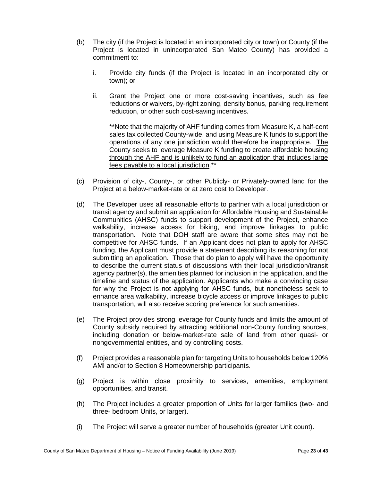- (b) The city (if the Project is located in an incorporated city or town) or County (if the Project is located in unincorporated San Mateo County) has provided a commitment to:
	- i. Provide city funds (if the Project is located in an incorporated city or town); or
	- ii. Grant the Project one or more cost-saving incentives, such as fee reductions or waivers, by-right zoning, density bonus, parking requirement reduction, or other such cost-saving incentives.

\*\*Note that the majority of AHF funding comes from Measure K, a half-cent sales tax collected County-wide, and using Measure K funds to support the operations of any one jurisdiction would therefore be inappropriate. The County seeks to leverage Measure K funding to create affordable housing through the AHF and is unlikely to fund an application that includes large fees payable to a local jurisdiction.\*\*

- (c) Provision of city-, County-, or other Publicly- or Privately-owned land for the Project at a below-market-rate or at zero cost to Developer.
- (d) The Developer uses all reasonable efforts to partner with a local jurisdiction or transit agency and submit an application for Affordable Housing and Sustainable Communities (AHSC) funds to support development of the Project, enhance walkability, increase access for biking, and improve linkages to public transportation. Note that DOH staff are aware that some sites may not be competitive for AHSC funds. If an Applicant does not plan to apply for AHSC funding, the Applicant must provide a statement describing its reasoning for not submitting an application. Those that do plan to apply will have the opportunity to describe the current status of discussions with their local jurisdiction/transit agency partner(s), the amenities planned for inclusion in the application, and the timeline and status of the application. Applicants who make a convincing case for why the Project is not applying for AHSC funds, but nonetheless seek to enhance area walkability, increase bicycle access or improve linkages to public transportation, will also receive scoring preference for such amenities.
- (e) The Project provides strong leverage for County funds and limits the amount of County subsidy required by attracting additional non-County funding sources, including donation or below-market-rate sale of land from other quasi- or nongovernmental entities, and by controlling costs.
- (f) Project provides a reasonable plan for targeting Units to households below 120% AMI and/or to Section 8 Homeownership participants.
- (g) Project is within close proximity to services, amenities, employment opportunities, and transit.
- (h) The Project includes a greater proportion of Units for larger families (two- and three- bedroom Units, or larger).
- (i) The Project will serve a greater number of households (greater Unit count).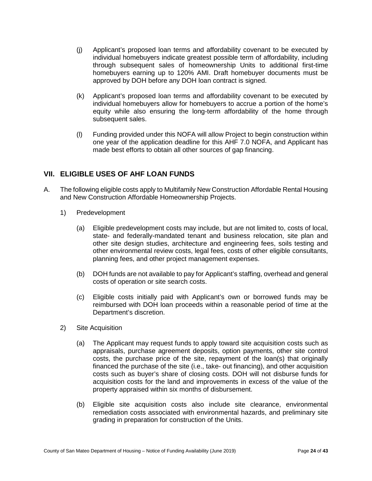- (j) Applicant's proposed loan terms and affordability covenant to be executed by individual homebuyers indicate greatest possible term of affordability, including through subsequent sales of homeownership Units to additional first-time homebuyers earning up to 120% AMI. Draft homebuyer documents must be approved by DOH before any DOH loan contract is signed.
- (k) Applicant's proposed loan terms and affordability covenant to be executed by individual homebuyers allow for homebuyers to accrue a portion of the home's equity while also ensuring the long-term affordability of the home through subsequent sales.
- (l) Funding provided under this NOFA will allow Project to begin construction within one year of the application deadline for this AHF 7.0 NOFA, and Applicant has made best efforts to obtain all other sources of gap financing.

# <span id="page-23-0"></span>**VII. ELIGIBLE USES OF AHF LOAN FUNDS**

- A. The following eligible costs apply to Multifamily New Construction Affordable Rental Housing and New Construction Affordable Homeownership Projects.
	- 1) Predevelopment
		- (a) Eligible predevelopment costs may include, but are not limited to, costs of local, state- and federally-mandated tenant and business relocation, site plan and other site design studies, architecture and engineering fees, soils testing and other environmental review costs, legal fees, costs of other eligible consultants, planning fees, and other project management expenses.
		- (b) DOH funds are not available to pay for Applicant's staffing, overhead and general costs of operation or site search costs.
		- (c) Eligible costs initially paid with Applicant's own or borrowed funds may be reimbursed with DOH loan proceeds within a reasonable period of time at the Department's discretion.
	- 2) Site Acquisition
		- (a) The Applicant may request funds to apply toward site acquisition costs such as appraisals, purchase agreement deposits, option payments, other site control costs, the purchase price of the site, repayment of the loan(s) that originally financed the purchase of the site (i.e., take- out financing), and other acquisition costs such as buyer's share of closing costs. DOH will not disburse funds for acquisition costs for the land and improvements in excess of the value of the property appraised within six months of disbursement.
		- (b) Eligible site acquisition costs also include site clearance, environmental remediation costs associated with environmental hazards, and preliminary site grading in preparation for construction of the Units.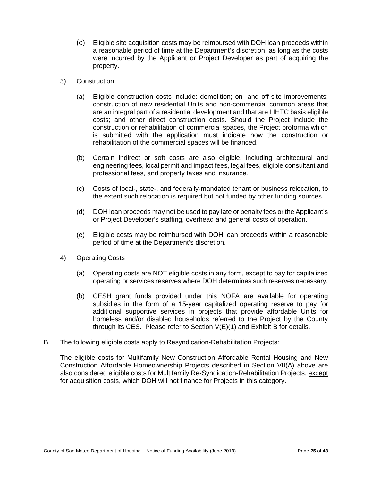- (c) Eligible site acquisition costs may be reimbursed with DOH loan proceeds within a reasonable period of time at the Department's discretion, as long as the costs were incurred by the Applicant or Project Developer as part of acquiring the property.
- 3) Construction
	- (a) Eligible construction costs include: demolition; on- and off-site improvements; construction of new residential Units and non-commercial common areas that are an integral part of a residential development and that are LIHTC basis eligible costs; and other direct construction costs. Should the Project include the construction or rehabilitation of commercial spaces, the Project proforma which is submitted with the application must indicate how the construction or rehabilitation of the commercial spaces will be financed.
	- (b) Certain indirect or soft costs are also eligible, including architectural and engineering fees, local permit and impact fees, legal fees, eligible consultant and professional fees, and property taxes and insurance.
	- (c) Costs of local-, state-, and federally-mandated tenant or business relocation, to the extent such relocation is required but not funded by other funding sources.
	- (d) DOH loan proceeds may not be used to pay late or penalty fees or the Applicant's or Project Developer's staffing, overhead and general costs of operation.
	- (e) Eligible costs may be reimbursed with DOH loan proceeds within a reasonable period of time at the Department's discretion.
- 4) Operating Costs
	- (a) Operating costs are NOT eligible costs in any form, except to pay for capitalized operating or services reserves where DOH determines such reserves necessary.
	- (b) CESH grant funds provided under this NOFA are available for operating subsidies in the form of a 15-year capitalized operating reserve to pay for additional supportive services in projects that provide affordable Units for homeless and/or disabled households referred to the Project by the County through its CES. Please refer to Section V(E)(1) and Exhibit B for details.
- B. The following eligible costs apply to Resyndication-Rehabilitation Projects:

The eligible costs for Multifamily New Construction Affordable Rental Housing and New Construction Affordable Homeownership Projects described in Section VII(A) above are also considered eligible costs for Multifamily Re-Syndication-Rehabilitation Projects, except for acquisition costs, which DOH will not finance for Projects in this category.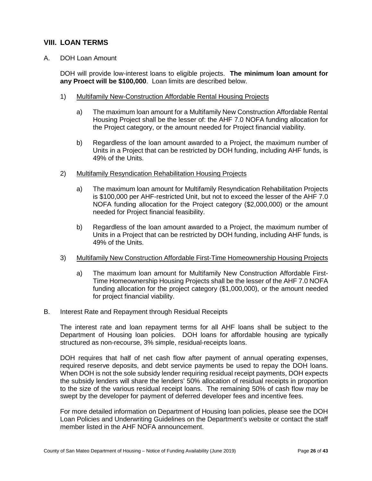# <span id="page-25-0"></span>**VIII. LOAN TERMS**

A. DOH Loan Amount

DOH will provide low-interest loans to eligible projects. **The minimum loan amount for any Proect will be \$100,000**. Loan limits are described below.

- 1) Multifamily New-Construction Affordable Rental Housing Projects
	- a) The maximum loan amount for a Multifamily New Construction Affordable Rental Housing Project shall be the lesser of: the AHF 7.0 NOFA funding allocation for the Project category, or the amount needed for Project financial viability.
	- b) Regardless of the loan amount awarded to a Project, the maximum number of Units in a Project that can be restricted by DOH funding, including AHF funds, is 49% of the Units.
- 2) Multifamily Resyndication Rehabilitation Housing Projects
	- a) The maximum loan amount for Multifamily Resyndication Rehabilitation Projects is \$100,000 per AHF-restricted Unit, but not to exceed the lesser of the AHF 7.0 NOFA funding allocation for the Project category (\$2,000,000) or the amount needed for Project financial feasibility.
	- b) Regardless of the loan amount awarded to a Project, the maximum number of Units in a Project that can be restricted by DOH funding, including AHF funds, is 49% of the Units.
- 3) Multifamily New Construction Affordable First-Time Homeownership Housing Projects
	- a) The maximum loan amount for Multifamily New Construction Affordable First-Time Homeownership Housing Projects shall be the lesser of the AHF 7.0 NOFA funding allocation for the project category (\$1,000,000), or the amount needed for project financial viability.
- B. Interest Rate and Repayment through Residual Receipts

The interest rate and loan repayment terms for all AHF loans shall be subject to the Department of Housing loan policies. DOH loans for affordable housing are typically structured as non-recourse, 3% simple, residual-receipts loans.

DOH requires that half of net cash flow after payment of annual operating expenses, required reserve deposits, and debt service payments be used to repay the DOH loans. When DOH is not the sole subsidy lender requiring residual receipt payments, DOH expects the subsidy lenders will share the lenders' 50% allocation of residual receipts in proportion to the size of the various residual receipt loans. The remaining 50% of cash flow may be swept by the developer for payment of deferred developer fees and incentive fees.

For more detailed information on Department of Housing loan policies, please see the DOH Loan Policies and Underwriting Guidelines on the Department's website or contact the staff member listed in the AHF NOFA announcement.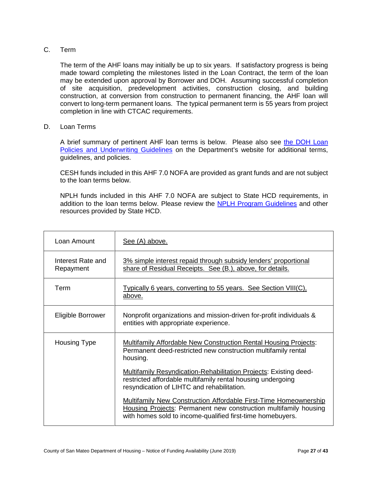#### C. Term

The term of the AHF loans may initially be up to six years. If satisfactory progress is being made toward completing the milestones listed in the Loan Contract, the term of the loan may be extended upon approval by Borrower and DOH. Assuming successful completion of site acquisition, predevelopment activities, construction closing, and building construction, at conversion from construction to permanent financing, the AHF loan will convert to long-term permanent loans. The typical permanent term is 55 years from project completion in line with CTCAC requirements.

D. Loan Terms

A brief summary of pertinent AHF loan terms is below. Please also see [the DOH Loan](https://housing.smcgov.org/doh-loan-terms-underwriting-guidelines-and-policies-updated-july-2018-0)  [Policies and Underwriting Guidelines](https://housing.smcgov.org/doh-loan-terms-underwriting-guidelines-and-policies-updated-july-2018-0) on the Department's website for additional terms, guidelines, and policies.

CESH funds included in this AHF 7.0 NOFA are provided as grant funds and are not subject to the loan terms below.

NPLH funds included in this AHF 7.0 NOFA are subject to State HCD requirements, in addition to the loan terms below. Please review the [NPLH Program Guidelines](http://www.hcd.ca.gov/grants-funding/active-funding/nplh.shtml#funds) and other resources provided by State HCD.

| Loan Amount                    | See (A) above.                                                                                                                                                                                            |
|--------------------------------|-----------------------------------------------------------------------------------------------------------------------------------------------------------------------------------------------------------|
| Interest Rate and<br>Repayment | 3% simple interest repaid through subsidy lenders' proportional<br>share of Residual Receipts. See (B.), above, for details.                                                                              |
| Term                           | <u>Typically 6 years, converting to 55 years. See Section VIII(C),</u><br>above.                                                                                                                          |
| Eligible Borrower              | Nonprofit organizations and mission-driven for-profit individuals &<br>entities with appropriate experience.                                                                                              |
| <b>Housing Type</b>            | Multifamily Affordable New Construction Rental Housing Projects:<br>Permanent deed-restricted new construction multifamily rental<br>housing.                                                             |
|                                | <b>Multifamily Resyndication-Rehabilitation Projects: Existing deed-</b><br>restricted affordable multifamily rental housing undergoing<br>resyndication of LIHTC and rehabilitation.                     |
|                                | <b>Multifamily New Construction Affordable First-Time Homeownership</b><br>Housing Projects: Permanent new construction multifamily housing<br>with homes sold to income-qualified first-time homebuyers. |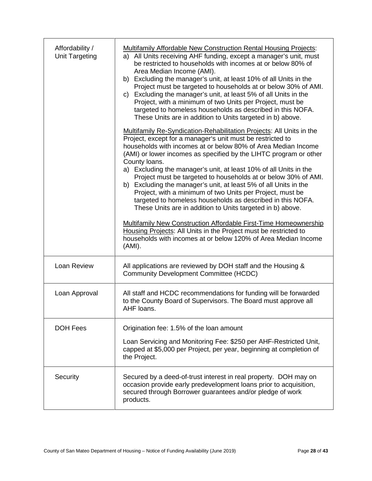| Affordability /<br>Unit Targeting | <b>Multifamily Affordable New Construction Rental Housing Projects:</b><br>a) All Units receiving AHF funding, except a manager's unit, must<br>be restricted to households with incomes at or below 80% of<br>Area Median Income (AMI).<br>b) Excluding the manager's unit, at least 10% of all Units in the<br>Project must be targeted to households at or below 30% of AMI.<br>Excluding the manager's unit, at least 5% of all Units in the<br>C)<br>Project, with a minimum of two Units per Project, must be<br>targeted to homeless households as described in this NOFA.<br>These Units are in addition to Units targeted in b) above.<br><b>Multifamily Re-Syndication-Rehabilitation Projects: All Units in the</b><br>Project, except for a manager's unit must be restricted to<br>households with incomes at or below 80% of Area Median Income<br>(AMI) or lower incomes as specified by the LIHTC program or other<br>County loans.<br>a) Excluding the manager's unit, at least 10% of all Units in the<br>Project must be targeted to households at or below 30% of AMI.<br>b) Excluding the manager's unit, at least 5% of all Units in the<br>Project, with a minimum of two Units per Project, must be<br>targeted to homeless households as described in this NOFA.<br>These Units are in addition to Units targeted in b) above.<br><b>Multifamily New Construction Affordable First-Time Homeownership</b><br>Housing Projects: All Units in the Project must be restricted to<br>households with incomes at or below 120% of Area Median Income<br>(AMI). |
|-----------------------------------|------------------------------------------------------------------------------------------------------------------------------------------------------------------------------------------------------------------------------------------------------------------------------------------------------------------------------------------------------------------------------------------------------------------------------------------------------------------------------------------------------------------------------------------------------------------------------------------------------------------------------------------------------------------------------------------------------------------------------------------------------------------------------------------------------------------------------------------------------------------------------------------------------------------------------------------------------------------------------------------------------------------------------------------------------------------------------------------------------------------------------------------------------------------------------------------------------------------------------------------------------------------------------------------------------------------------------------------------------------------------------------------------------------------------------------------------------------------------------------------------------------------------------------------------------------------------------------|
| Loan Review                       | All applications are reviewed by DOH staff and the Housing &<br><b>Community Development Committee (HCDC)</b>                                                                                                                                                                                                                                                                                                                                                                                                                                                                                                                                                                                                                                                                                                                                                                                                                                                                                                                                                                                                                                                                                                                                                                                                                                                                                                                                                                                                                                                                      |
| Loan Approval                     | All staff and HCDC recommendations for funding will be forwarded<br>to the County Board of Supervisors. The Board must approve all<br>AHF loans.                                                                                                                                                                                                                                                                                                                                                                                                                                                                                                                                                                                                                                                                                                                                                                                                                                                                                                                                                                                                                                                                                                                                                                                                                                                                                                                                                                                                                                   |
| <b>DOH Fees</b>                   | Origination fee: 1.5% of the loan amount                                                                                                                                                                                                                                                                                                                                                                                                                                                                                                                                                                                                                                                                                                                                                                                                                                                                                                                                                                                                                                                                                                                                                                                                                                                                                                                                                                                                                                                                                                                                           |
|                                   | Loan Servicing and Monitoring Fee: \$250 per AHF-Restricted Unit,<br>capped at \$5,000 per Project, per year, beginning at completion of<br>the Project.                                                                                                                                                                                                                                                                                                                                                                                                                                                                                                                                                                                                                                                                                                                                                                                                                                                                                                                                                                                                                                                                                                                                                                                                                                                                                                                                                                                                                           |
| Security                          | Secured by a deed-of-trust interest in real property. DOH may on<br>occasion provide early predevelopment loans prior to acquisition,<br>secured through Borrower guarantees and/or pledge of work<br>products.                                                                                                                                                                                                                                                                                                                                                                                                                                                                                                                                                                                                                                                                                                                                                                                                                                                                                                                                                                                                                                                                                                                                                                                                                                                                                                                                                                    |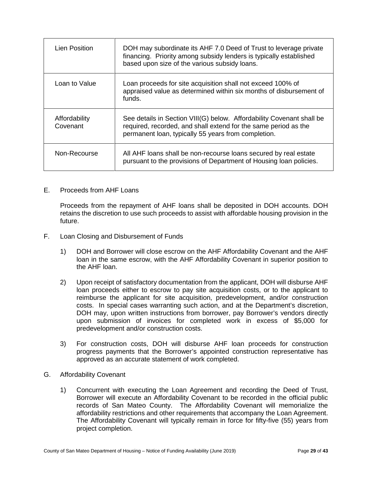| <b>Lien Position</b>      | DOH may subordinate its AHF 7.0 Deed of Trust to leverage private<br>financing. Priority among subsidy lenders is typically established<br>based upon size of the various subsidy loans.        |
|---------------------------|-------------------------------------------------------------------------------------------------------------------------------------------------------------------------------------------------|
| Loan to Value             | Loan proceeds for site acquisition shall not exceed 100% of<br>appraised value as determined within six months of disbursement of<br>funds.                                                     |
| Affordability<br>Covenant | See details in Section VIII(G) below. Affordability Covenant shall be<br>required, recorded, and shall extend for the same period as the<br>permanent loan, typically 55 years from completion. |
| Non-Recourse              | All AHF loans shall be non-recourse loans secured by real estate<br>pursuant to the provisions of Department of Housing loan policies.                                                          |

#### E. Proceeds from AHF Loans

Proceeds from the repayment of AHF loans shall be deposited in DOH accounts. DOH retains the discretion to use such proceeds to assist with affordable housing provision in the future.

- F. Loan Closing and Disbursement of Funds
	- 1) DOH and Borrower will close escrow on the AHF Affordability Covenant and the AHF loan in the same escrow, with the AHF Affordability Covenant in superior position to the AHF loan.
	- 2) Upon receipt of satisfactory documentation from the applicant, DOH will disburse AHF loan proceeds either to escrow to pay site acquisition costs, or to the applicant to reimburse the applicant for site acquisition, predevelopment, and/or construction costs. In special cases warranting such action, and at the Department's discretion, DOH may, upon written instructions from borrower, pay Borrower's vendors directly upon submission of invoices for completed work in excess of \$5,000 for predevelopment and/or construction costs.
	- 3) For construction costs, DOH will disburse AHF loan proceeds for construction progress payments that the Borrower's appointed construction representative has approved as an accurate statement of work completed.
- G. Affordability Covenant
	- 1) Concurrent with executing the Loan Agreement and recording the Deed of Trust, Borrower will execute an Affordability Covenant to be recorded in the official public records of San Mateo County. The Affordability Covenant will memorialize the affordability restrictions and other requirements that accompany the Loan Agreement. The Affordability Covenant will typically remain in force for fifty-five (55) years from project completion.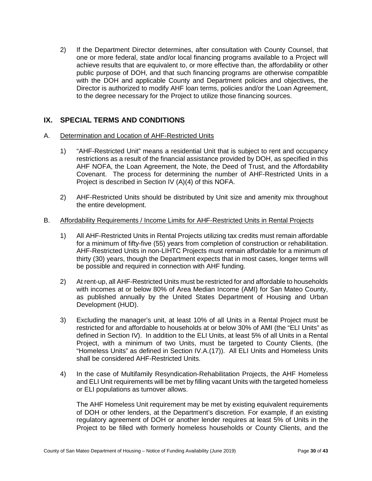2) If the Department Director determines, after consultation with County Counsel, that one or more federal, state and/or local financing programs available to a Project will achieve results that are equivalent to, or more effective than, the affordability or other public purpose of DOH, and that such financing programs are otherwise compatible with the DOH and applicable County and Department policies and objectives, the Director is authorized to modify AHF loan terms, policies and/or the Loan Agreement, to the degree necessary for the Project to utilize those financing sources.

## <span id="page-29-0"></span>**IX. SPECIAL TERMS AND CONDITIONS**

#### A. Determination and Location of AHF-Restricted Units

- 1) "AHF-Restricted Unit" means a residential Unit that is subject to rent and occupancy restrictions as a result of the financial assistance provided by DOH, as specified in this AHF NOFA, the Loan Agreement, the Note, the Deed of Trust, and the Affordability Covenant. The process for determining the number of AHF-Restricted Units in a Project is described in Section IV (A)(4) of this NOFA.
- 2) AHF-Restricted Units should be distributed by Unit size and amenity mix throughout the entire development.

#### B. Affordability Requirements / Income Limits for AHF-Restricted Units in Rental Projects

- 1) All AHF-Restricted Units in Rental Projects utilizing tax credits must remain affordable for a minimum of fifty-five (55) years from completion of construction or rehabilitation. AHF-Restricted Units in non-LIHTC Projects must remain affordable for a minimum of thirty (30) years, though the Department expects that in most cases, longer terms will be possible and required in connection with AHF funding.
- 2) At rent-up, all AHF-Restricted Units must be restricted for and affordable to households with incomes at or below 80% of Area Median Income (AMI) for San Mateo County, as published annually by the United States Department of Housing and Urban Development (HUD).
- 3) Excluding the manager's unit, at least 10% of all Units in a Rental Project must be restricted for and affordable to households at or below 30% of AMI (the "ELI Units" as defined in Section IV). In addition to the ELI Units, at least 5% of all Units in a Rental Project, with a minimum of two Units, must be targeted to County Clients, (the "Homeless Units" as defined in Section IV.A.(17)). All ELI Units and Homeless Units shall be considered AHF-Restricted Units.
- 4) In the case of Multifamily Resyndication-Rehabilitation Projects, the AHF Homeless and ELI Unit requirements will be met by filling vacant Units with the targeted homeless or ELI populations as turnover allows.

The AHF Homeless Unit requirement may be met by existing equivalent requirements of DOH or other lenders, at the Department's discretion. For example, if an existing regulatory agreement of DOH or another lender requires at least 5% of Units in the Project to be filled with formerly homeless households or County Clients, and the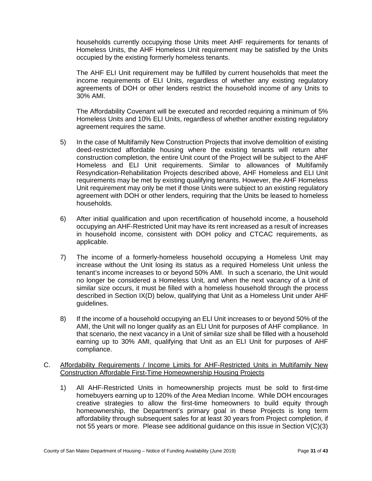households currently occupying those Units meet AHF requirements for tenants of Homeless Units, the AHF Homeless Unit requirement may be satisfied by the Units occupied by the existing formerly homeless tenants.

The AHF ELI Unit requirement may be fulfilled by current households that meet the income requirements of ELI Units, regardless of whether any existing regulatory agreements of DOH or other lenders restrict the household income of any Units to 30% AMI.

The Affordability Covenant will be executed and recorded requiring a minimum of 5% Homeless Units and 10% ELI Units, regardless of whether another existing regulatory agreement requires the same.

- 5) In the case of Multifamily New Construction Projects that involve demolition of existing deed-restricted affordable housing where the existing tenants will return after construction completion, the entire Unit count of the Project will be subject to the AHF Homeless and ELI Unit requirements. Similar to allowances of Multifamily Resyndication-Rehabilitation Projects described above, AHF Homeless and ELI Unit requirements may be met by existing qualifying tenants. However, the AHF Homeless Unit requirement may only be met if those Units were subject to an existing regulatory agreement with DOH or other lenders, requiring that the Units be leased to homeless households.
- 6) After initial qualification and upon recertification of household income, a household occupying an AHF-Restricted Unit may have its rent increased as a result of increases in household income, consistent with DOH policy and CTCAC requirements, as applicable.
- 7) The income of a formerly-homeless household occupying a Homeless Unit may increase without the Unit losing its status as a required Homeless Unit unless the tenant's income increases to or beyond 50% AMI. In such a scenario, the Unit would no longer be considered a Homeless Unit, and when the next vacancy of a Unit of similar size occurs, it must be filled with a homeless household through the process described in Section IX(D) below, qualifying that Unit as a Homeless Unit under AHF guidelines.
- 8) If the income of a household occupying an ELI Unit increases to or beyond 50% of the AMI, the Unit will no longer qualify as an ELI Unit for purposes of AHF compliance. In that scenario, the next vacancy in a Unit of similar size shall be filled with a household earning up to 30% AMI, qualifying that Unit as an ELI Unit for purposes of AHF compliance.
- C. Affordability Requirements / Income Limits for AHF-Restricted Units in Multifamily New Construction Affordable First-Time Homeownership Housing Projects
	- 1) All AHF-Restricted Units in homeownership projects must be sold to first-time homebuyers earning up to 120% of the Area Median Income. While DOH encourages creative strategies to allow the first-time homeowners to build equity through homeownership, the Department's primary goal in these Projects is long term affordability through subsequent sales for at least 30 years from Project completion, if not 55 years or more. Please see additional guidance on this issue in Section V(C)(3)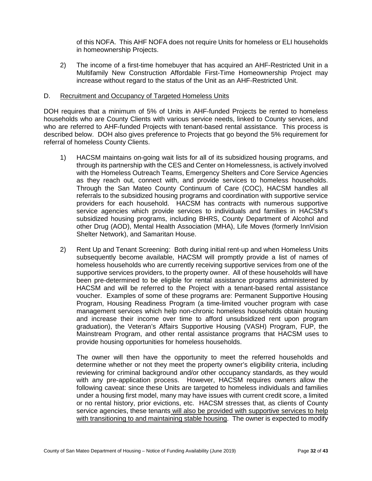of this NOFA. This AHF NOFA does not require Units for homeless or ELI households in homeownership Projects.

2) The income of a first-time homebuyer that has acquired an AHF-Restricted Unit in a Multifamily New Construction Affordable First-Time Homeownership Project may increase without regard to the status of the Unit as an AHF-Restricted Unit.

#### D. Recruitment and Occupancy of Targeted Homeless Units

DOH requires that a minimum of 5% of Units in AHF-funded Projects be rented to homeless households who are County Clients with various service needs, linked to County services, and who are referred to AHF-funded Projects with tenant-based rental assistance. This process is described below. DOH also gives preference to Projects that go beyond the 5% requirement for referral of homeless County Clients.

- 1) HACSM maintains on-going wait lists for all of its subsidized housing programs, and through its partnership with the CES and Center on Homelessness, is actively involved with the Homeless Outreach Teams, Emergency Shelters and Core Service Agencies as they reach out, connect with, and provide services to homeless households. Through the San Mateo County Continuum of Care (COC), HACSM handles all referrals to the subsidized housing programs and coordination with supportive service providers for each household. HACSM has contracts with numerous supportive service agencies which provide services to individuals and families in HACSM's subsidized housing programs, including BHRS, County Department of Alcohol and other Drug (AOD), Mental Health Association (MHA), Life Moves (formerly InnVision Shelter Network), and Samaritan House.
- 2) Rent Up and Tenant Screening: Both during initial rent-up and when Homeless Units subsequently become available, HACSM will promptly provide a list of names of homeless households who are currently receiving supportive services from one of the supportive services providers, to the property owner. All of these households will have been pre-determined to be eligible for rental assistance programs administered by HACSM and will be referred to the Project with a tenant-based rental assistance voucher. Examples of some of these programs are: Permanent Supportive Housing Program, Housing Readiness Program (a time-limited voucher program with case management services which help non-chronic homeless households obtain housing and increase their income over time to afford unsubsidized rent upon program graduation), the Veteran's Affairs Supportive Housing (VASH) Program, FUP, the Mainstream Program, and other rental assistance programs that HACSM uses to provide housing opportunities for homeless households.

The owner will then have the opportunity to meet the referred households and determine whether or not they meet the property owner's eligibility criteria, including reviewing for criminal background and/or other occupancy standards, as they would with any pre-application process. However, HACSM requires owners allow the following caveat: since these Units are targeted to homeless individuals and families under a housing first model, many may have issues with current credit score, a limited or no rental history, prior evictions, etc. HACSM stresses that, as clients of County service agencies, these tenants will also be provided with supportive services to help with transitioning to and maintaining stable housing. The owner is expected to modify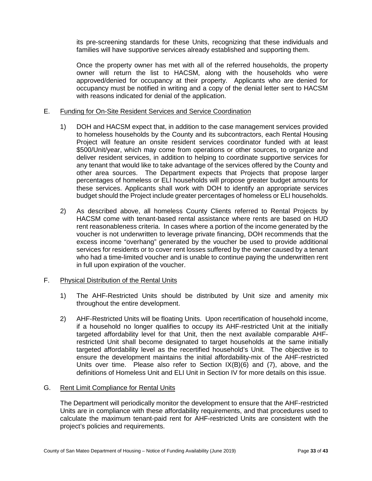its pre-screening standards for these Units, recognizing that these individuals and families will have supportive services already established and supporting them.

Once the property owner has met with all of the referred households, the property owner will return the list to HACSM, along with the households who were approved/denied for occupancy at their property. Applicants who are denied for occupancy must be notified in writing and a copy of the denial letter sent to HACSM with reasons indicated for denial of the application.

#### E. Funding for On-Site Resident Services and Service Coordination

- 1) DOH and HACSM expect that, in addition to the case management services provided to homeless households by the County and its subcontractors, each Rental Housing Project will feature an onsite resident services coordinator funded with at least \$500/Unit/year, which may come from operations or other sources, to organize and deliver resident services, in addition to helping to coordinate supportive services for any tenant that would like to take advantage of the services offered by the County and other area sources. The Department expects that Projects that propose larger percentages of homeless or ELI households will propose greater budget amounts for these services. Applicants shall work with DOH to identify an appropriate services budget should the Project include greater percentages of homeless or ELI households.
- 2) As described above, all homeless County Clients referred to Rental Projects by HACSM come with tenant-based rental assistance where rents are based on HUD rent reasonableness criteria. In cases where a portion of the income generated by the voucher is not underwritten to leverage private financing, DOH recommends that the excess income "overhang" generated by the voucher be used to provide additional services for residents or to cover rent losses suffered by the owner caused by a tenant who had a time-limited voucher and is unable to continue paying the underwritten rent in full upon expiration of the voucher.

#### F. Physical Distribution of the Rental Units

- 1) The AHF-Restricted Units should be distributed by Unit size and amenity mix throughout the entire development.
- 2) AHF-Restricted Units will be floating Units. Upon recertification of household income, if a household no longer qualifies to occupy its AHF-restricted Unit at the initially targeted affordability level for that Unit, then the next available comparable AHFrestricted Unit shall become designated to target households at the same initially targeted affordability level as the recertified household's Unit. The objective is to ensure the development maintains the initial affordability-mix of the AHF-restricted Units over time. Please also refer to Section IX(B)(6) and (7), above, and the definitions of Homeless Unit and ELI Unit in Section IV for more details on this issue.

#### G. Rent Limit Compliance for Rental Units

The Department will periodically monitor the development to ensure that the AHF-restricted Units are in compliance with these affordability requirements, and that procedures used to calculate the maximum tenant-paid rent for AHF-restricted Units are consistent with the project's policies and requirements.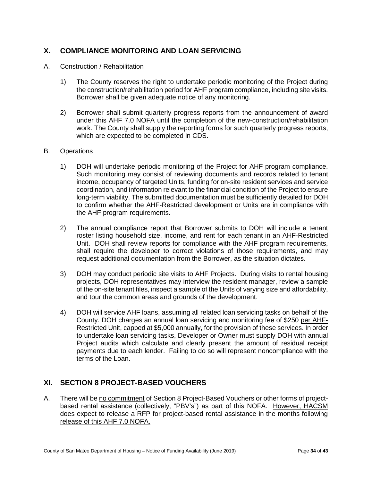# <span id="page-33-0"></span>**X. COMPLIANCE MONITORING AND LOAN SERVICING**

- A. Construction / Rehabilitation
	- 1) The County reserves the right to undertake periodic monitoring of the Project during the construction/rehabilitation period for AHF program compliance, including site visits. Borrower shall be given adequate notice of any monitoring.
	- 2) Borrower shall submit quarterly progress reports from the announcement of award under this AHF 7.0 NOFA until the completion of the new-construction/rehabilitation work. The County shall supply the reporting forms for such quarterly progress reports, which are expected to be completed in CDS.

#### B. Operations

- 1) DOH will undertake periodic monitoring of the Project for AHF program compliance. Such monitoring may consist of reviewing documents and records related to tenant income, occupancy of targeted Units, funding for on-site resident services and service coordination, and information relevant to the financial condition of the Project to ensure long-term viability. The submitted documentation must be sufficiently detailed for DOH to confirm whether the AHF-Restricted development or Units are in compliance with the AHF program requirements.
- 2) The annual compliance report that Borrower submits to DOH will include a tenant roster listing household size, income, and rent for each tenant in an AHF-Restricted Unit. DOH shall review reports for compliance with the AHF program requirements, shall require the developer to correct violations of those requirements, and may request additional documentation from the Borrower, as the situation dictates.
- 3) DOH may conduct periodic site visits to AHF Projects. During visits to rental housing projects, DOH representatives may interview the resident manager, review a sample of the on-site tenant files, inspect a sample of the Units of varying size and affordability, and tour the common areas and grounds of the development.
- 4) DOH will service AHF loans, assuming all related loan servicing tasks on behalf of the County. DOH charges an annual loan servicing and monitoring fee of \$250 per AHF-Restricted Unit, capped at \$5,000 annually, for the provision of these services. In order to undertake loan servicing tasks, Developer or Owner must supply DOH with annual Project audits which calculate and clearly present the amount of residual receipt payments due to each lender. Failing to do so will represent noncompliance with the terms of the Loan.

# <span id="page-33-1"></span>**XI. SECTION 8 PROJECT-BASED VOUCHERS**

A. There will be no commitment of Section 8 Project-Based Vouchers or other forms of projectbased rental assistance (collectively, "PBV's") as part of this NOFA. However, HACSM does expect to release a RFP for project-based rental assistance in the months following release of this AHF 7.0 NOFA.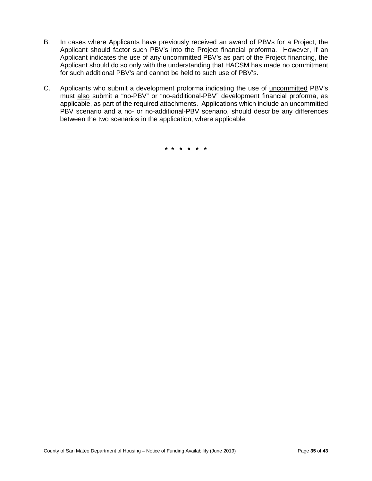- B. In cases where Applicants have previously received an award of PBVs for a Project, the Applicant should factor such PBV's into the Project financial proforma. However, if an Applicant indicates the use of any uncommitted PBV's as part of the Project financing, the Applicant should do so only with the understanding that HACSM has made no commitment for such additional PBV's and cannot be held to such use of PBV's.
- C. Applicants who submit a development proforma indicating the use of uncommitted PBV's must also submit a "no-PBV" or "no-additional-PBV" development financial proforma, as applicable, as part of the required attachments. Applications which include an uncommitted PBV scenario and a no- or no-additional-PBV scenario, should describe any differences between the two scenarios in the application, where applicable.

**\* \* \* \* \* \***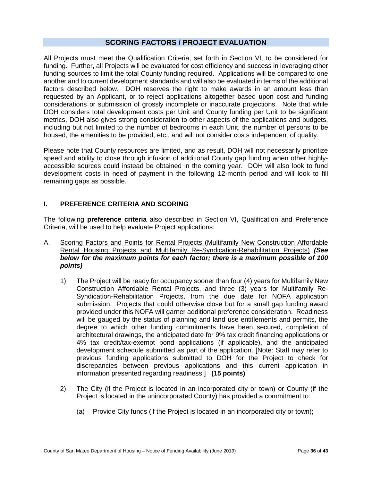### **SCORING FACTORS / PROJECT EVALUATION**

<span id="page-35-0"></span>All Projects must meet the Qualification Criteria, set forth in Section VI, to be considered for funding. Further, all Projects will be evaluated for cost efficiency and success in leveraging other funding sources to limit the total County funding required. Applications will be compared to one another and to current development standards and will also be evaluated in terms of the additional factors described below. DOH reserves the right to make awards in an amount less than requested by an Applicant, or to reject applications altogether based upon cost and funding considerations or submission of grossly incomplete or inaccurate projections. Note that while DOH considers total development costs per Unit and County funding per Unit to be significant metrics, DOH also gives strong consideration to other aspects of the applications and budgets, including but not limited to the number of bedrooms in each Unit, the number of persons to be housed, the amenities to be provided, etc., and will not consider costs independent of quality.

Please note that County resources are limited, and as result, DOH will not necessarily prioritize speed and ability to close through infusion of additional County gap funding when other highlyaccessible sources could instead be obtained in the coming year. DOH will also look to fund development costs in need of payment in the following 12-month period and will look to fill remaining gaps as possible.

#### **I. PREFERENCE CRITERIA AND SCORING**

The following **preference criteria** also described in Section VI, Qualification and Preference Criteria, will be used to help evaluate Project applications:

- A. Scoring Factors and Points for Rental Projects (Multifamily New Construction Affordable Rental Housing Projects and Multifamily Re-Syndication-Rehabilitation Projects) *(See below for the maximum points for each factor; there is a maximum possible of 100 points)*
	- 1) The Project will be ready for occupancy sooner than four (4) years for Multifamily New Construction Affordable Rental Projects, and three (3) years for Multifamily Re-Syndication-Rehabilitation Projects, from the due date for NOFA application submission. Projects that could otherwise close but for a small gap funding award provided under this NOFA will garner additional preference consideration. Readiness will be gauged by the status of planning and land use entitlements and permits, the degree to which other funding commitments have been secured, completion of architectural drawings, the anticipated date for 9% tax credit financing applications or 4% tax credit/tax-exempt bond applications (if applicable), and the anticipated development schedule submitted as part of the application. [Note: Staff may refer to previous funding applications submitted to DOH for the Project to check for discrepancies between previous applications and this current application in information presented regarding readiness.] **(15 points)**
	- 2) The City (if the Project is located in an incorporated city or town) or County (if the Project is located in the unincorporated County) has provided a commitment to:
		- (a) Provide City funds (if the Project is located in an incorporated city or town);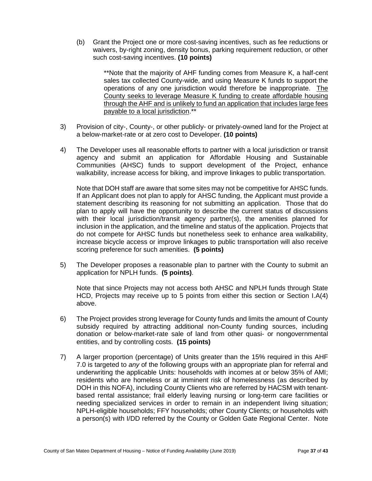(b) Grant the Project one or more cost-saving incentives, such as fee reductions or waivers, by-right zoning, density bonus, parking requirement reduction, or other such cost-saving incentives. **(10 points)**

> \*\*Note that the majority of AHF funding comes from Measure K, a half-cent sales tax collected County-wide, and using Measure K funds to support the operations of any one jurisdiction would therefore be inappropriate. The County seeks to leverage Measure K funding to create affordable housing through the AHF and is unlikely to fund an application that includes large fees payable to a local jurisdiction.\*\*

- 3) Provision of city-, County-, or other publicly- or privately-owned land for the Project at a below-market-rate or at zero cost to Developer. **(10 points)**
- 4) The Developer uses all reasonable efforts to partner with a local jurisdiction or transit agency and submit an application for Affordable Housing and Sustainable Communities (AHSC) funds to support development of the Project, enhance walkability, increase access for biking, and improve linkages to public transportation.

Note that DOH staff are aware that some sites may not be competitive for AHSC funds. If an Applicant does not plan to apply for AHSC funding, the Applicant must provide a statement describing its reasoning for not submitting an application. Those that do plan to apply will have the opportunity to describe the current status of discussions with their local jurisdiction/transit agency partner(s), the amenities planned for inclusion in the application, and the timeline and status of the application. Projects that do not compete for AHSC funds but nonetheless seek to enhance area walkability, increase bicycle access or improve linkages to public transportation will also receive scoring preference for such amenities. **(5 points)**

5) The Developer proposes a reasonable plan to partner with the County to submit an application for NPLH funds. **(5 points)**.

Note that since Projects may not access both AHSC and NPLH funds through State HCD, Projects may receive up to 5 points from either this section or Section I.A(4) above.

- 6) The Project provides strong leverage for County funds and limits the amount of County subsidy required by attracting additional non-County funding sources, including donation or below-market-rate sale of land from other quasi- or nongovernmental entities, and by controlling costs. **(15 points)**
- 7) A larger proportion (percentage) of Units greater than the 15% required in this AHF 7.0 is targeted to *any* of the following groups with an appropriate plan for referral and underwriting the applicable Units: households with incomes at or below 35% of AMI; residents who are homeless or at imminent risk of homelessness (as described by DOH in this NOFA), including County Clients who are referred by HACSM with tenantbased rental assistance; frail elderly leaving nursing or long-term care facilities or needing specialized services in order to remain in an independent living situation; NPLH-eligible households; FFY households; other County Clients; or households with a person(s) with I/DD referred by the County or Golden Gate Regional Center. Note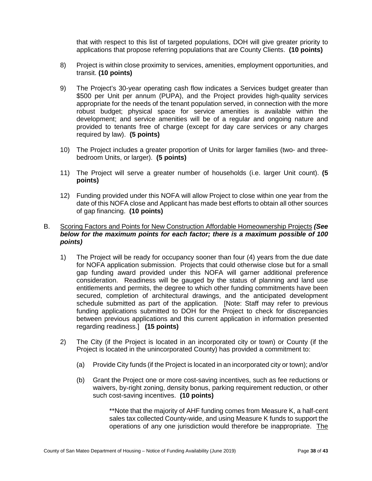that with respect to this list of targeted populations, DOH will give greater priority to applications that propose referring populations that are County Clients. **(10 points)**

- 8) Project is within close proximity to services, amenities, employment opportunities, and transit. **(10 points)**
- 9) The Project's 30-year operating cash flow indicates a Services budget greater than \$500 per Unit per annum (PUPA), and the Project provides high-quality services appropriate for the needs of the tenant population served, in connection with the more robust budget; physical space for service amenities is available within the development; and service amenities will be of a regular and ongoing nature and provided to tenants free of charge (except for day care services or any charges required by law). **(5 points)**
- 10) The Project includes a greater proportion of Units for larger families (two- and threebedroom Units, or larger). **(5 points)**
- 11) The Project will serve a greater number of households (i.e. larger Unit count). **(5 points)**
- 12) Funding provided under this NOFA will allow Project to close within one year from the date of this NOFA close and Applicant has made best efforts to obtain all other sources of gap financing. **(10 points)**

#### B. Scoring Factors and Points for New Construction Affordable Homeownership Projects *(See below for the maximum points for each factor; there is a maximum possible of 100 points)*

- 1) The Project will be ready for occupancy sooner than four (4) years from the due date for NOFA application submission. Projects that could otherwise close but for a small gap funding award provided under this NOFA will garner additional preference consideration. Readiness will be gauged by the status of planning and land use entitlements and permits, the degree to which other funding commitments have been secured, completion of architectural drawings, and the anticipated development schedule submitted as part of the application. [Note: Staff may refer to previous funding applications submitted to DOH for the Project to check for discrepancies between previous applications and this current application in information presented regarding readiness.] **(15 points)**
- 2) The City (if the Project is located in an incorporated city or town) or County (if the Project is located in the unincorporated County) has provided a commitment to:
	- (a) Provide City funds (if the Project is located in an incorporated city or town); and/or
	- (b) Grant the Project one or more cost-saving incentives, such as fee reductions or waivers, by-right zoning, density bonus, parking requirement reduction, or other such cost-saving incentives. **(10 points)**

\*\*Note that the majority of AHF funding comes from Measure K, a half-cent sales tax collected County-wide, and using Measure K funds to support the operations of any one jurisdiction would therefore be inappropriate. The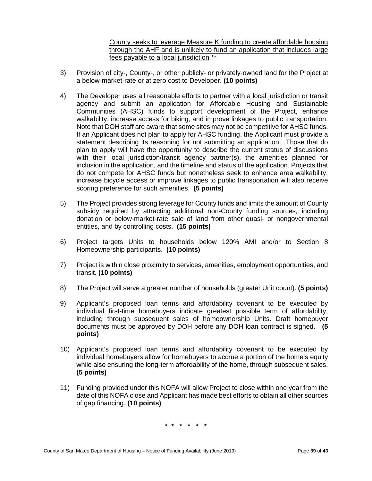County seeks to leverage Measure K funding to create affordable housing through the AHF and is unlikely to fund an application that includes large fees payable to a local jurisdiction.\*\*

- 3) Provision of city-, County-, or other publicly- or privately-owned land for the Project at a below-market-rate or at zero cost to Developer. **(10 points)**
- 4) The Developer uses all reasonable efforts to partner with a local jurisdiction or transit agency and submit an application for Affordable Housing and Sustainable Communities (AHSC) funds to support development of the Project, enhance walkability, increase access for biking, and improve linkages to public transportation. Note that DOH staff are aware that some sites may not be competitive for AHSC funds. If an Applicant does not plan to apply for AHSC funding, the Applicant must provide a statement describing its reasoning for not submitting an application. Those that do plan to apply will have the opportunity to describe the current status of discussions with their local jurisdiction/transit agency partner(s), the amenities planned for inclusion in the application, and the timeline and status of the application. Projects that do not compete for AHSC funds but nonetheless seek to enhance area walkability, increase bicycle access or improve linkages to public transportation will also receive scoring preference for such amenities. **(5 points)**
- 5) The Project provides strong leverage for County funds and limits the amount of County subsidy required by attracting additional non-County funding sources, including donation or below-market-rate sale of land from other quasi- or nongovernmental entities, and by controlling costs. **(15 points)**
- 6) Project targets Units to households below 120% AMI and/or to Section 8 Homeownership participants. **(10 points)**
- 7) Project is within close proximity to services, amenities, employment opportunities, and transit. **(10 points)**
- 8) The Project will serve a greater number of households (greater Unit count). **(5 points)**
- 9) Applicant's proposed loan terms and affordability covenant to be executed by individual first-time homebuyers indicate greatest possible term of affordability, including through subsequent sales of homeownership Units. Draft homebuyer documents must be approved by DOH before any DOH loan contract is signed. **(5 points)**
- 10) Applicant's proposed loan terms and affordability covenant to be executed by individual homebuyers allow for homebuyers to accrue a portion of the home's equity while also ensuring the long-term affordability of the home, through subsequent sales. **(5 points)**
- 11) Funding provided under this NOFA will allow Project to close within one year from the date of this NOFA close and Applicant has made best efforts to obtain all other sources of gap financing. **(10 points)**

**\* \* \* \* \* \***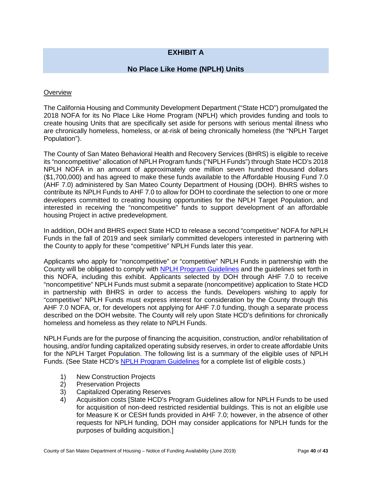# **EXHIBIT A**

# **No Place Like Home (NPLH) Units**

#### <span id="page-39-0"></span>**Overview**

The California Housing and Community Development Department ("State HCD") promulgated the 2018 NOFA for its No Place Like Home Program (NPLH) which provides funding and tools to create housing Units that are specifically set aside for persons with serious mental illness who are chronically homeless, homeless, or at-risk of being chronically homeless (the "NPLH Target Population").

The County of San Mateo Behavioral Health and Recovery Services (BHRS) is eligible to receive its "noncompetitive" allocation of NPLH Program funds ("NPLH Funds") through State HCD's 2018 NPLH NOFA in an amount of approximately one million seven hundred thousand dollars (\$1,700,000) and has agreed to make these funds available to the Affordable Housing Fund 7.0 (AHF 7.0) administered by San Mateo County Department of Housing (DOH). BHRS wishes to contribute its NPLH Funds to AHF 7.0 to allow for DOH to coordinate the selection to one or more developers committed to creating housing opportunities for the NPLH Target Population, and interested in receiving the "noncompetitive" funds to support development of an affordable housing Project in active predevelopment.

In addition, DOH and BHRS expect State HCD to release a second "competitive" NOFA for NPLH Funds in the fall of 2019 and seek similarly committed developers interested in partnering with the County to apply for these "competitive" NPLH Funds later this year.

Applicants who apply for "noncompetitive" or "competitive" NPLH Funds in partnership with the County will be obligated to comply with [NPLH Program Guidelines](http://www.hcd.ca.gov/grants-funding/active-funding/docs/NPLHGuidelines082519-v1.pdf) and the guidelines set forth in this NOFA, including this exhibit. Applicants selected by DOH through AHF 7.0 to receive "noncompetitive" NPLH Funds must submit a separate (noncompetitive) application to State HCD in partnership with BHRS in order to access the funds. Developers wishing to apply for "competitive" NPLH Funds must express interest for consideration by the County through this AHF 7.0 NOFA, or, for developers not applying for AHF 7.0 funding, though a separate process described on the DOH website. The County will rely upon State HCD's definitions for chronically homeless and homeless as they relate to NPLH Funds.

NPLH Funds are for the purpose of financing the acquisition, construction, and/or rehabilitation of housing, and/or funding capitalized operating subsidy reserves, in order to create affordable Units for the NPLH Target Population. The following list is a summary of the eligible uses of NPLH Funds. (See State HCD's [NPLH Program Guidelines](http://www.hcd.ca.gov/grants-funding/active-funding/docs/NPLHGuidelines082519-v1.pdf) for a complete list of eligible costs.)

- 1) New Construction Projects
- 2) Preservation Projects
- 3) Capitalized Operating Reserves
- 4) Acquisition costs [State HCD's Program Guidelines allow for NPLH Funds to be used for acquisition of non-deed restricted residential buildings. This is not an eligible use for Measure K or CESH funds provided in AHF 7.0; however, in the absence of other requests for NPLH funding, DOH may consider applications for NPLH funds for the purposes of building acquisition.]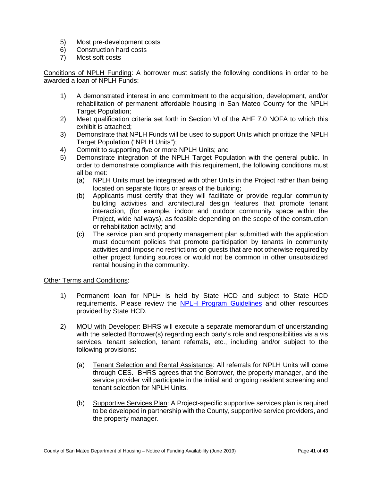- 5) Most pre-development costs
- 6) Construction hard costs
- 7) Most soft costs

Conditions of NPLH Funding: A borrower must satisfy the following conditions in order to be awarded a loan of NPLH Funds:

- 1) A demonstrated interest in and commitment to the acquisition, development, and/or rehabilitation of permanent affordable housing in San Mateo County for the NPLH Target Population;
- 2) Meet qualification criteria set forth in Section VI of the AHF 7.0 NOFA to which this exhibit is attached;
- 3) Demonstrate that NPLH Funds will be used to support Units which prioritize the NPLH Target Population ("NPLH Units");
- 4) Commit to supporting five or more NPLH Units; and
- 5) Demonstrate integration of the NPLH Target Population with the general public. In order to demonstrate compliance with this requirement, the following conditions must all be met:
	- (a) NPLH Units must be integrated with other Units in the Project rather than being located on separate floors or areas of the building;
	- (b) Applicants must certify that they will facilitate or provide regular community building activities and architectural design features that promote tenant interaction, (for example, indoor and outdoor community space within the Project, wide hallways), as feasible depending on the scope of the construction or rehabilitation activity; and
	- (c) The service plan and property management plan submitted with the application must document policies that promote participation by tenants in community activities and impose no restrictions on guests that are not otherwise required by other project funding sources or would not be common in other unsubsidized rental housing in the community.

#### Other Terms and Conditions:

- 1) Permanent loan for NPLH is held by State HCD and subject to State HCD requirements. Please review the [NPLH Program Guidelines](http://www.hcd.ca.gov/grants-funding/active-funding/nplh.shtml#funds) and other resources provided by State HCD.
- 2) MOU with Developer: BHRS will execute a separate memorandum of understanding with the selected Borrower(s) regarding each party's role and responsibilities vis a vis services, tenant selection, tenant referrals, etc., including and/or subject to the following provisions:
	- (a) Tenant Selection and Rental Assistance: All referrals for NPLH Units will come through CES. BHRS agrees that the Borrower, the property manager, and the service provider will participate in the initial and ongoing resident screening and tenant selection for NPLH Units.
	- (b) Supportive Services Plan: A Project-specific supportive services plan is required to be developed in partnership with the County, supportive service providers, and the property manager.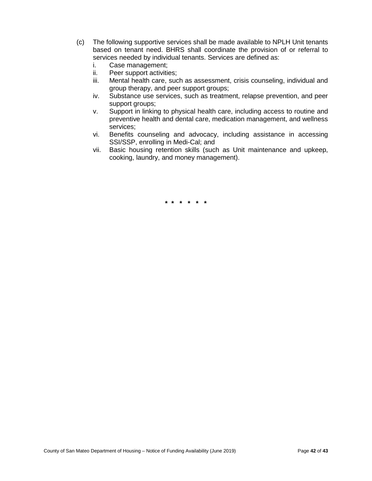- (c) The following supportive services shall be made available to NPLH Unit tenants based on tenant need. BHRS shall coordinate the provision of or referral to services needed by individual tenants. Services are defined as:
	- i. Case management;
	- ii. Peer support activities;
	- iii. Mental health care, such as assessment, crisis counseling, individual and group therapy, and peer support groups;
	- iv. Substance use services, such as treatment, relapse prevention, and peer support groups;
	- v. Support in linking to physical health care, including access to routine and preventive health and dental care, medication management, and wellness services;
	- vi. Benefits counseling and advocacy, including assistance in accessing SSI/SSP, enrolling in Medi-Cal; and
	- vii. Basic housing retention skills (such as Unit maintenance and upkeep, cooking, laundry, and money management).

**\* \* \* \* \* \***